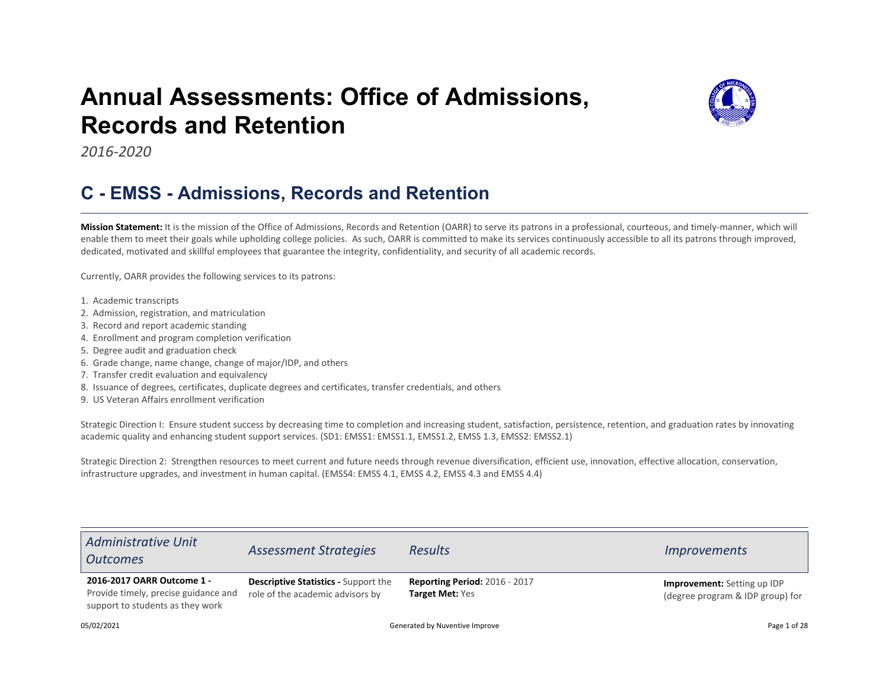# Annual Assessments: Office of Admissions, Records and Retention



2016-2020

## C - EMSS - Admissions, Records and Retention

Mission Statement: It is the mission of the Office of Admissions, Records and Retention (OARR) to serve its patrons in a professional, courteous, and timely-manner, which will enable them to meet their goals while upholding college policies. As such, OARR is committed to make its services continuously accessible to all its patrons through improved, dedicated, motivated and skillful employees that guarantee the integrity, confidentiality, and security of all academic records.

Currently, OARR provides the following services to its patrons:

- 1. Academic transcripts
- 2. Admission, registration, and matriculation
- 3. Record and report academic standing
- 4. Enrollment and program completion verification
- 5. Degree audit and graduation check
- 6. Grade change, name change, change of major/IDP, and others
- 7. Transfer credit evaluation and equivalency
- 8. Issuance of degrees, certificates, duplicate degrees and certificates, transfer credentials, and others
- 9. US Veteran Affairs enrollment verification

Strategic Direction I: Ensure student success by decreasing time to completion and increasing student, satisfaction, persistence, retention, and graduation rates by innovating academic quality and enhancing student support services. (SD1: EMSS1: EMSS1.1, EMSS1.2, EMSS 1.3, EMSS2: EMSS2.1)

Strategic Direction 2: Strengthen resources to meet current and future needs through revenue diversification, efficient use, innovation, effective allocation, conservation, infrastructure upgrades, and investment in human capital. (EMSS4: EMSS 4.1, EMSS 4.2, EMSS 4.3 and EMSS 4.4)

| <b>Administrative Unit</b><br><i><u>Outcomes</u></i>                                                   | <b>Assessment Strategies</b>                                                    | <b>Results</b>                                          | <i>Improvements</i>                                                    |
|--------------------------------------------------------------------------------------------------------|---------------------------------------------------------------------------------|---------------------------------------------------------|------------------------------------------------------------------------|
| 2016-2017 OARR Outcome 1 -<br>Provide timely, precise guidance and<br>support to students as they work | <b>Descriptive Statistics - Support the</b><br>role of the academic advisors by | <b>Reporting Period: 2016 - 2017</b><br>Target Met: Yes | <b>Improvement:</b> Setting up IDP<br>(degree program & IDP group) for |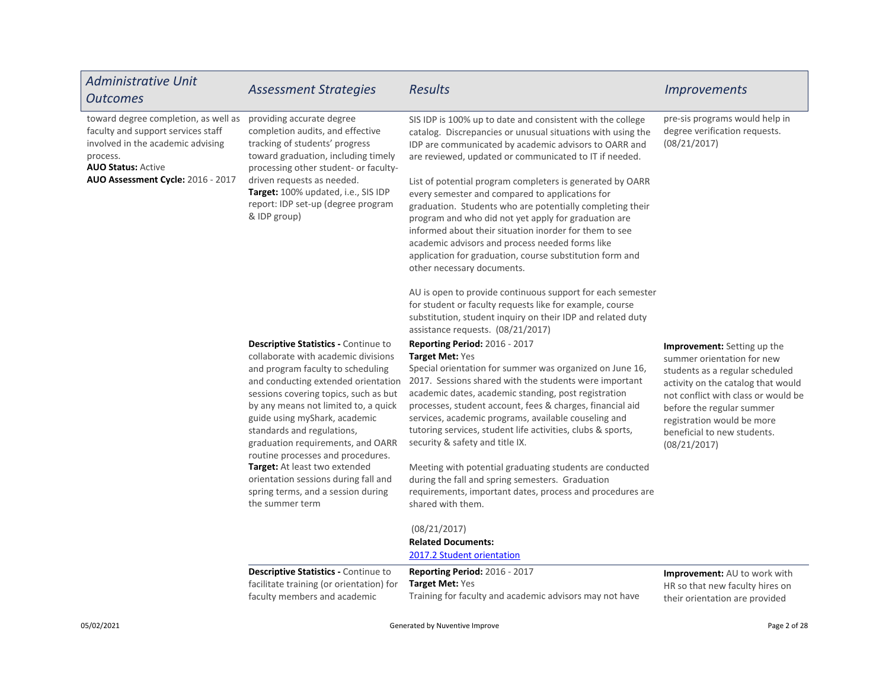| <b>Administrative Unit</b><br><b>Outcomes</b>                                                                                                                                                 | <b>Assessment Strategies</b>                                                                                                                                                                                                                                                                                                                                                                                                                                                                                               | <b>Results</b>                                                                                                                                                                                                                                                                                                                                                                                                                                                                                                                                                                                                                                                                                                                                                                                                                                                                                                                                                          | <b>Improvements</b>                                                                                                                                                                                                                                                                        |
|-----------------------------------------------------------------------------------------------------------------------------------------------------------------------------------------------|----------------------------------------------------------------------------------------------------------------------------------------------------------------------------------------------------------------------------------------------------------------------------------------------------------------------------------------------------------------------------------------------------------------------------------------------------------------------------------------------------------------------------|-------------------------------------------------------------------------------------------------------------------------------------------------------------------------------------------------------------------------------------------------------------------------------------------------------------------------------------------------------------------------------------------------------------------------------------------------------------------------------------------------------------------------------------------------------------------------------------------------------------------------------------------------------------------------------------------------------------------------------------------------------------------------------------------------------------------------------------------------------------------------------------------------------------------------------------------------------------------------|--------------------------------------------------------------------------------------------------------------------------------------------------------------------------------------------------------------------------------------------------------------------------------------------|
| toward degree completion, as well as<br>faculty and support services staff<br>involved in the academic advising<br>process.<br><b>AUO Status: Active</b><br>AUO Assessment Cycle: 2016 - 2017 | providing accurate degree<br>completion audits, and effective<br>tracking of students' progress<br>toward graduation, including timely<br>processing other student- or faculty-<br>driven requests as needed.<br>Target: 100% updated, i.e., SIS IDP<br>report: IDP set-up (degree program<br>& IDP group)                                                                                                                                                                                                                 | SIS IDP is 100% up to date and consistent with the college<br>catalog. Discrepancies or unusual situations with using the<br>IDP are communicated by academic advisors to OARR and<br>are reviewed, updated or communicated to IT if needed.<br>List of potential program completers is generated by OARR<br>every semester and compared to applications for<br>graduation. Students who are potentially completing their<br>program and who did not yet apply for graduation are<br>informed about their situation inorder for them to see<br>academic advisors and process needed forms like<br>application for graduation, course substitution form and<br>other necessary documents.                                                                                                                                                                                                                                                                                | pre-sis programs would help in<br>degree verification requests.<br>(08/21/2017)                                                                                                                                                                                                            |
|                                                                                                                                                                                               | <b>Descriptive Statistics - Continue to</b><br>collaborate with academic divisions<br>and program faculty to scheduling<br>and conducting extended orientation<br>sessions covering topics, such as but<br>by any means not limited to, a quick<br>guide using myShark, academic<br>standards and regulations,<br>graduation requirements, and OARR<br>routine processes and procedures.<br>Target: At least two extended<br>orientation sessions during fall and<br>spring terms, and a session during<br>the summer term | AU is open to provide continuous support for each semester<br>for student or faculty requests like for example, course<br>substitution, student inquiry on their IDP and related duty<br>assistance requests. (08/21/2017)<br><b>Reporting Period: 2016 - 2017</b><br>Target Met: Yes<br>Special orientation for summer was organized on June 16,<br>2017. Sessions shared with the students were important<br>academic dates, academic standing, post registration<br>processes, student account, fees & charges, financial aid<br>services, academic programs, available couseling and<br>tutoring services, student life activities, clubs & sports,<br>security & safety and title IX.<br>Meeting with potential graduating students are conducted<br>during the fall and spring semesters. Graduation<br>requirements, important dates, process and procedures are<br>shared with them.<br>(08/21/2017)<br><b>Related Documents:</b><br>2017.2 Student orientation | <b>Improvement:</b> Setting up the<br>summer orientation for new<br>students as a regular scheduled<br>activity on the catalog that would<br>not conflict with class or would be<br>before the regular summer<br>registration would be more<br>beneficial to new students.<br>(08/21/2017) |
|                                                                                                                                                                                               | Descriptive Statistics - Continue to<br>facilitate training (or orientation) for<br>faculty members and academic                                                                                                                                                                                                                                                                                                                                                                                                           | <b>Reporting Period: 2016 - 2017</b><br>Target Met: Yes<br>Training for faculty and academic advisors may not have                                                                                                                                                                                                                                                                                                                                                                                                                                                                                                                                                                                                                                                                                                                                                                                                                                                      | <b>Improvement:</b> AU to work with<br>HR so that new faculty hires on<br>their orientation are provided                                                                                                                                                                                   |
| 05/02/2021                                                                                                                                                                                    |                                                                                                                                                                                                                                                                                                                                                                                                                                                                                                                            | Generated by Nuventive Improve                                                                                                                                                                                                                                                                                                                                                                                                                                                                                                                                                                                                                                                                                                                                                                                                                                                                                                                                          | Page 2 of 28                                                                                                                                                                                                                                                                               |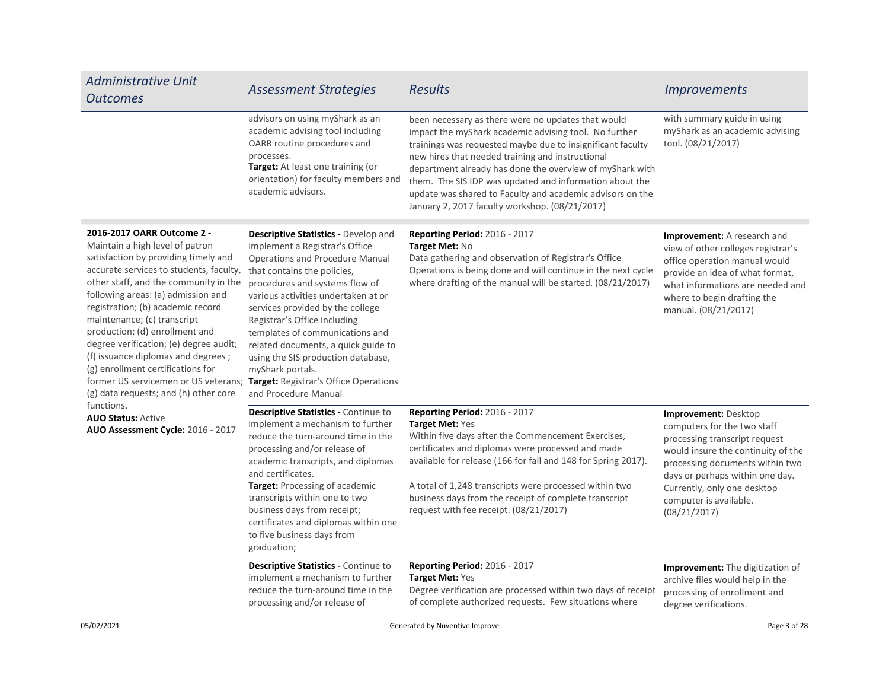| <b>Administrative Unit</b><br><b>Outcomes</b>                                                                                                                                                                                                                                                                                                                                                                                                                                                                                                                                                                                                                     | <b>Assessment Strategies</b>                                                                                                                                                                                                                                                                                                                                                                                                                                    | <b>Results</b>                                                                                                                                                                                                                                                                                                                                                                                                                                                      | <b>Improvements</b>                                                                                                                                                                                                                                                       |
|-------------------------------------------------------------------------------------------------------------------------------------------------------------------------------------------------------------------------------------------------------------------------------------------------------------------------------------------------------------------------------------------------------------------------------------------------------------------------------------------------------------------------------------------------------------------------------------------------------------------------------------------------------------------|-----------------------------------------------------------------------------------------------------------------------------------------------------------------------------------------------------------------------------------------------------------------------------------------------------------------------------------------------------------------------------------------------------------------------------------------------------------------|---------------------------------------------------------------------------------------------------------------------------------------------------------------------------------------------------------------------------------------------------------------------------------------------------------------------------------------------------------------------------------------------------------------------------------------------------------------------|---------------------------------------------------------------------------------------------------------------------------------------------------------------------------------------------------------------------------------------------------------------------------|
|                                                                                                                                                                                                                                                                                                                                                                                                                                                                                                                                                                                                                                                                   | advisors on using myShark as an<br>academic advising tool including<br>OARR routine procedures and<br>processes.<br><b>Target:</b> At least one training (or<br>orientation) for faculty members and<br>academic advisors.                                                                                                                                                                                                                                      | been necessary as there were no updates that would<br>impact the myShark academic advising tool. No further<br>trainings was requested maybe due to insignificant faculty<br>new hires that needed training and instructional<br>department already has done the overview of myShark with<br>them. The SIS IDP was updated and information about the<br>update was shared to Faculty and academic advisors on the<br>January 2, 2017 faculty workshop. (08/21/2017) | with summary guide in using<br>myShark as an academic advising<br>tool. (08/21/2017)                                                                                                                                                                                      |
| 2016-2017 OARR Outcome 2 -<br>Maintain a high level of patron<br>satisfaction by providing timely and<br>accurate services to students, faculty,<br>other staff, and the community in the<br>following areas: (a) admission and<br>registration; (b) academic record<br>maintenance; (c) transcript<br>production; (d) enrollment and<br>degree verification; (e) degree audit;<br>(f) issuance diplomas and degrees;<br>(g) enrollment certifications for<br>former US servicemen or US veterans; Target: Registrar's Office Operations<br>(g) data requests; and (h) other core<br>functions.<br><b>AUO Status: Active</b><br>AUO Assessment Cycle: 2016 - 2017 | <b>Descriptive Statistics - Develop and</b><br>implement a Registrar's Office<br><b>Operations and Procedure Manual</b><br>that contains the policies,<br>procedures and systems flow of<br>various activities undertaken at or<br>services provided by the college<br>Registrar's Office including<br>templates of communications and<br>related documents, a quick guide to<br>using the SIS production database,<br>myShark portals.<br>and Procedure Manual | Reporting Period: 2016 - 2017<br>Target Met: No<br>Data gathering and observation of Registrar's Office<br>Operations is being done and will continue in the next cycle<br>where drafting of the manual will be started. (08/21/2017)                                                                                                                                                                                                                               | <b>Improvement:</b> A research and<br>view of other colleges registrar's<br>office operation manual would<br>provide an idea of what format,<br>what informations are needed and<br>where to begin drafting the<br>manual. (08/21/2017)                                   |
|                                                                                                                                                                                                                                                                                                                                                                                                                                                                                                                                                                                                                                                                   | <b>Descriptive Statistics - Continue to</b><br>implement a mechanism to further<br>reduce the turn-around time in the<br>processing and/or release of<br>academic transcripts, and diplomas<br>and certificates.<br>Target: Processing of academic<br>transcripts within one to two<br>business days from receipt;<br>certificates and diplomas within one<br>to five business days from<br>graduation;                                                         | Reporting Period: 2016 - 2017<br>Target Met: Yes<br>Within five days after the Commencement Exercises,<br>certificates and diplomas were processed and made<br>available for release (166 for fall and 148 for Spring 2017).<br>A total of 1,248 transcripts were processed within two<br>business days from the receipt of complete transcript<br>request with fee receipt. (08/21/2017)                                                                           | Improvement: Desktop<br>computers for the two staff<br>processing transcript request<br>would insure the continuity of the<br>processing documents within two<br>days or perhaps within one day.<br>Currently, only one desktop<br>computer is available.<br>(08/21/2017) |
|                                                                                                                                                                                                                                                                                                                                                                                                                                                                                                                                                                                                                                                                   | <b>Descriptive Statistics - Continue to</b><br>implement a mechanism to further<br>reduce the turn-around time in the<br>processing and/or release of                                                                                                                                                                                                                                                                                                           | <b>Reporting Period: 2016 - 2017</b><br>Target Met: Yes<br>Degree verification are processed within two days of receipt<br>of complete authorized requests. Few situations where                                                                                                                                                                                                                                                                                    | <b>Improvement:</b> The digitization of<br>archive files would help in the<br>processing of enrollment and<br>degree verifications.                                                                                                                                       |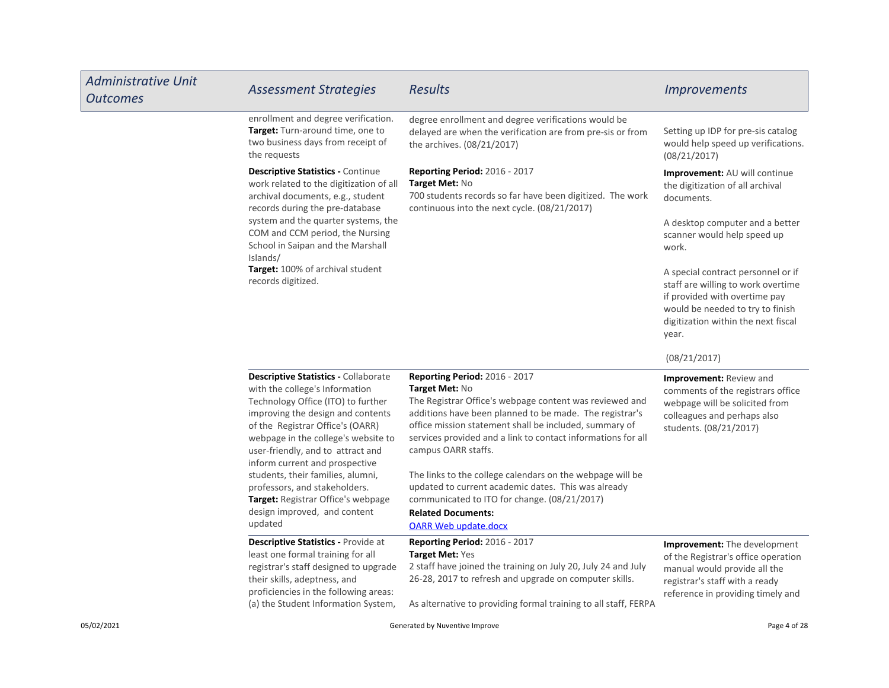| <b>Administrative Unit</b><br><b>Outcomes</b> | <b>Assessment Strategies</b>                                                                                                                                                                                                                                                                               | <b>Results</b>                                                                                                                                                                                                                                                                                                                | <b>Improvements</b>                                                                                                                                                                           |
|-----------------------------------------------|------------------------------------------------------------------------------------------------------------------------------------------------------------------------------------------------------------------------------------------------------------------------------------------------------------|-------------------------------------------------------------------------------------------------------------------------------------------------------------------------------------------------------------------------------------------------------------------------------------------------------------------------------|-----------------------------------------------------------------------------------------------------------------------------------------------------------------------------------------------|
|                                               | enrollment and degree verification.<br>Target: Turn-around time, one to<br>two business days from receipt of<br>the requests                                                                                                                                                                               | degree enrollment and degree verifications would be<br>delayed are when the verification are from pre-sis or from<br>the archives. (08/21/2017)                                                                                                                                                                               | Setting up IDP for pre-sis catalog<br>would help speed up verifications.<br>(08/21/2017)                                                                                                      |
|                                               | <b>Descriptive Statistics - Continue</b><br>work related to the digitization of all<br>archival documents, e.g., student<br>records during the pre-database                                                                                                                                                | <b>Reporting Period: 2016 - 2017</b><br>Target Met: No<br>700 students records so far have been digitized. The work<br>continuous into the next cycle. (08/21/2017)                                                                                                                                                           | Improvement: AU will continue<br>the digitization of all archival<br>documents.                                                                                                               |
|                                               | system and the quarter systems, the<br>COM and CCM period, the Nursing<br>School in Saipan and the Marshall<br>Islands/                                                                                                                                                                                    |                                                                                                                                                                                                                                                                                                                               | A desktop computer and a better<br>scanner would help speed up<br>work.                                                                                                                       |
|                                               | <b>Target:</b> 100% of archival student<br>records digitized.                                                                                                                                                                                                                                              |                                                                                                                                                                                                                                                                                                                               | A special contract personnel or if<br>staff are willing to work overtime<br>if provided with overtime pay<br>would be needed to try to finish<br>digitization within the next fiscal<br>year. |
|                                               |                                                                                                                                                                                                                                                                                                            |                                                                                                                                                                                                                                                                                                                               | (08/21/2017)                                                                                                                                                                                  |
|                                               | <b>Descriptive Statistics - Collaborate</b><br>with the college's Information<br>Technology Office (ITO) to further<br>improving the design and contents<br>of the Registrar Office's (OARR)<br>webpage in the college's website to<br>user-friendly, and to attract and<br>inform current and prospective | <b>Reporting Period: 2016 - 2017</b><br>Target Met: No<br>The Registrar Office's webpage content was reviewed and<br>additions have been planned to be made. The registrar's<br>office mission statement shall be included, summary of<br>services provided and a link to contact informations for all<br>campus OARR staffs. | Improvement: Review and<br>comments of the registrars office<br>webpage will be solicited from<br>colleagues and perhaps also<br>students. (08/21/2017)                                       |
|                                               | students, their families, alumni,<br>professors, and stakeholders.<br>Target: Registrar Office's webpage<br>design improved, and content                                                                                                                                                                   | The links to the college calendars on the webpage will be<br>updated to current academic dates. This was already<br>communicated to ITO for change. (08/21/2017)<br><b>Related Documents:</b>                                                                                                                                 |                                                                                                                                                                                               |
|                                               | updated                                                                                                                                                                                                                                                                                                    | <b>OARR Web update.docx</b>                                                                                                                                                                                                                                                                                                   |                                                                                                                                                                                               |
|                                               | Descriptive Statistics - Provide at<br>least one formal training for all<br>registrar's staff designed to upgrade<br>their skills, adeptness, and<br>proficiencies in the following areas:                                                                                                                 | <b>Reporting Period: 2016 - 2017</b><br><b>Target Met: Yes</b><br>2 staff have joined the training on July 20, July 24 and July<br>26-28, 2017 to refresh and upgrade on computer skills.                                                                                                                                     | <b>Improvement:</b> The development<br>of the Registrar's office operation<br>manual would provide all the<br>registrar's staff with a ready<br>reference in providing timely and             |
|                                               | (a) the Student Information System,                                                                                                                                                                                                                                                                        | As alternative to providing formal training to all staff, FERPA                                                                                                                                                                                                                                                               |                                                                                                                                                                                               |
| 05/02/2021                                    |                                                                                                                                                                                                                                                                                                            | Generated by Nuventive Improve                                                                                                                                                                                                                                                                                                | Page 4 of 28                                                                                                                                                                                  |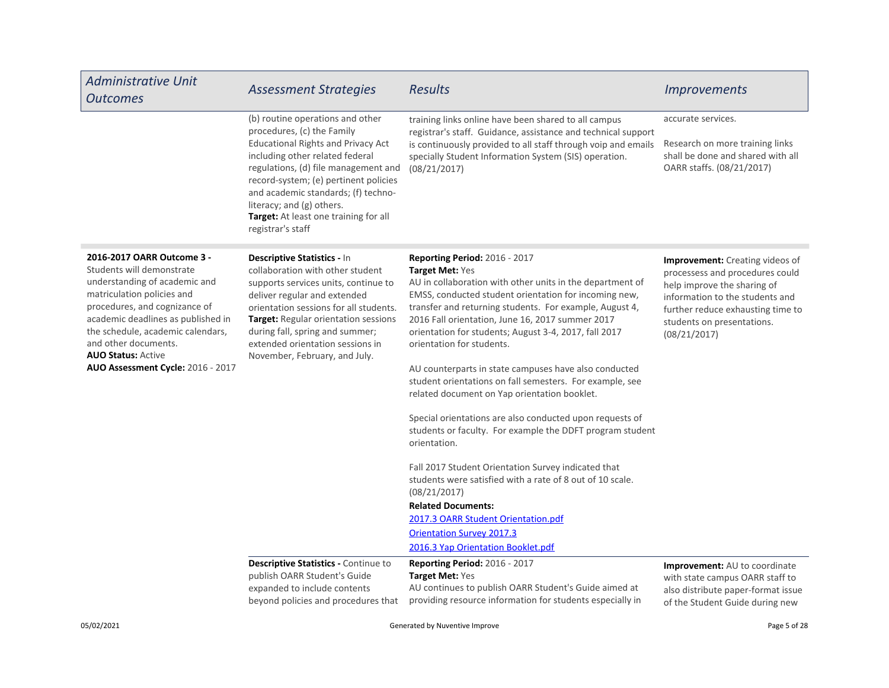| <b>Administrative Unit</b><br><b>Outcomes</b>                                                                                                                                                                                                                                                                                | <b>Assessment Strategies</b>                                                                                                                                                                                                                                                                                                                                      | <b>Results</b>                                                                                                                                                                                                                                                                                                                                                                                                                                                                                                                                                                                                                                                                                                                                                                                                                                                                                                                                                                     | <b>Improvements</b>                                                                                                                                                                                                            |
|------------------------------------------------------------------------------------------------------------------------------------------------------------------------------------------------------------------------------------------------------------------------------------------------------------------------------|-------------------------------------------------------------------------------------------------------------------------------------------------------------------------------------------------------------------------------------------------------------------------------------------------------------------------------------------------------------------|------------------------------------------------------------------------------------------------------------------------------------------------------------------------------------------------------------------------------------------------------------------------------------------------------------------------------------------------------------------------------------------------------------------------------------------------------------------------------------------------------------------------------------------------------------------------------------------------------------------------------------------------------------------------------------------------------------------------------------------------------------------------------------------------------------------------------------------------------------------------------------------------------------------------------------------------------------------------------------|--------------------------------------------------------------------------------------------------------------------------------------------------------------------------------------------------------------------------------|
|                                                                                                                                                                                                                                                                                                                              | (b) routine operations and other<br>procedures, (c) the Family<br><b>Educational Rights and Privacy Act</b><br>including other related federal<br>regulations, (d) file management and<br>record-system; (e) pertinent policies<br>and academic standards; (f) techno-<br>literacy; and (g) others.<br>Target: At least one training for all<br>registrar's staff | training links online have been shared to all campus<br>registrar's staff. Guidance, assistance and technical support<br>is continuously provided to all staff through voip and emails<br>specially Student Information System (SIS) operation.<br>(08/21/2017)                                                                                                                                                                                                                                                                                                                                                                                                                                                                                                                                                                                                                                                                                                                    | accurate services.<br>Research on more training links<br>shall be done and shared with all<br>OARR staffs. (08/21/2017)                                                                                                        |
| 2016-2017 OARR Outcome 3 -<br>Students will demonstrate<br>understanding of academic and<br>matriculation policies and<br>procedures, and cognizance of<br>academic deadlines as published in<br>the schedule, academic calendars,<br>and other documents.<br><b>AUO Status: Active</b><br>AUO Assessment Cycle: 2016 - 2017 | Descriptive Statistics - In<br>collaboration with other student<br>supports services units, continue to<br>deliver regular and extended<br>orientation sessions for all students.<br>Target: Regular orientation sessions<br>during fall, spring and summer;<br>extended orientation sessions in<br>November, February, and July.                                 | <b>Reporting Period: 2016 - 2017</b><br>Target Met: Yes<br>AU in collaboration with other units in the department of<br>EMSS, conducted student orientation for incoming new,<br>transfer and returning students. For example, August 4,<br>2016 Fall orientation, June 16, 2017 summer 2017<br>orientation for students; August 3-4, 2017, fall 2017<br>orientation for students.<br>AU counterparts in state campuses have also conducted<br>student orientations on fall semesters. For example, see<br>related document on Yap orientation booklet.<br>Special orientations are also conducted upon requests of<br>students or faculty. For example the DDFT program student<br>orientation.<br>Fall 2017 Student Orientation Survey indicated that<br>students were satisfied with a rate of 8 out of 10 scale.<br>(08/21/2017)<br><b>Related Documents:</b><br>2017.3 OARR Student Orientation.pdf<br><b>Orientation Survey 2017.3</b><br>2016.3 Yap Orientation Booklet.pdf | <b>Improvement:</b> Creating videos of<br>processess and procedures could<br>help improve the sharing of<br>information to the students and<br>further reduce exhausting time to<br>students on presentations.<br>(08/21/2017) |
|                                                                                                                                                                                                                                                                                                                              | Descriptive Statistics - Continue to<br>publish OARR Student's Guide<br>expanded to include contents<br>beyond policies and procedures that                                                                                                                                                                                                                       | Reporting Period: 2016 - 2017<br>Target Met: Yes<br>AU continues to publish OARR Student's Guide aimed at<br>providing resource information for students especially in                                                                                                                                                                                                                                                                                                                                                                                                                                                                                                                                                                                                                                                                                                                                                                                                             | Improvement: AU to coordinate<br>with state campus OARR staff to<br>also distribute paper-format issue<br>of the Student Guide during new                                                                                      |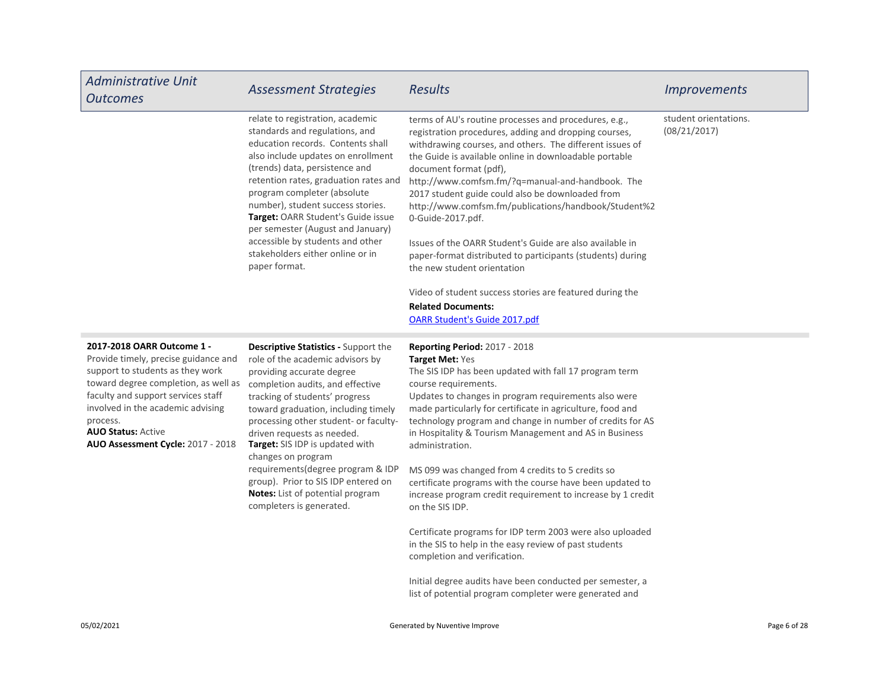| <b>Administrative Unit</b><br><b>Outcomes</b>                                                                                                                                                                                                                                                           | <b>Assessment Strategies</b>                                                                                                                                                                                                                                                                                                                                                                                                                                                                   | <b>Results</b>                                                                                                                                                                                                                                                                                                                                                                                                                                                                                                                                                                                                                                                                                                                                                                                                                                                                              | <b>Improvements</b>                   |
|---------------------------------------------------------------------------------------------------------------------------------------------------------------------------------------------------------------------------------------------------------------------------------------------------------|------------------------------------------------------------------------------------------------------------------------------------------------------------------------------------------------------------------------------------------------------------------------------------------------------------------------------------------------------------------------------------------------------------------------------------------------------------------------------------------------|---------------------------------------------------------------------------------------------------------------------------------------------------------------------------------------------------------------------------------------------------------------------------------------------------------------------------------------------------------------------------------------------------------------------------------------------------------------------------------------------------------------------------------------------------------------------------------------------------------------------------------------------------------------------------------------------------------------------------------------------------------------------------------------------------------------------------------------------------------------------------------------------|---------------------------------------|
|                                                                                                                                                                                                                                                                                                         | relate to registration, academic<br>standards and regulations, and<br>education records. Contents shall<br>also include updates on enrollment<br>(trends) data, persistence and<br>retention rates, graduation rates and<br>program completer (absolute<br>number), student success stories.<br>Target: OARR Student's Guide issue<br>per semester (August and January)<br>accessible by students and other<br>stakeholders either online or in<br>paper format.                               | terms of AU's routine processes and procedures, e.g.,<br>registration procedures, adding and dropping courses,<br>withdrawing courses, and others. The different issues of<br>the Guide is available online in downloadable portable<br>document format (pdf),<br>http://www.comfsm.fm/?q=manual-and-handbook. The<br>2017 student guide could also be downloaded from<br>http://www.comfsm.fm/publications/handbook/Student%2<br>0-Guide-2017.pdf.<br>Issues of the OARR Student's Guide are also available in<br>paper-format distributed to participants (students) during<br>the new student orientation<br>Video of student success stories are featured during the<br><b>Related Documents:</b><br><b>OARR Student's Guide 2017.pdf</b>                                                                                                                                               | student orientations.<br>(08/21/2017) |
| 2017-2018 OARR Outcome 1 -<br>Provide timely, precise guidance and<br>support to students as they work<br>toward degree completion, as well as<br>faculty and support services staff<br>involved in the academic advising<br>process.<br><b>AUO Status: Active</b><br>AUO Assessment Cycle: 2017 - 2018 | Descriptive Statistics - Support the<br>role of the academic advisors by<br>providing accurate degree<br>completion audits, and effective<br>tracking of students' progress<br>toward graduation, including timely<br>processing other student- or faculty-<br>driven requests as needed.<br>Target: SIS IDP is updated with<br>changes on program<br>requirements(degree program & IDP<br>group). Prior to SIS IDP entered on<br>Notes: List of potential program<br>completers is generated. | <b>Reporting Period: 2017 - 2018</b><br>Target Met: Yes<br>The SIS IDP has been updated with fall 17 program term<br>course requirements.<br>Updates to changes in program requirements also were<br>made particularly for certificate in agriculture, food and<br>technology program and change in number of credits for AS<br>in Hospitality & Tourism Management and AS in Business<br>administration.<br>MS 099 was changed from 4 credits to 5 credits so<br>certificate programs with the course have been updated to<br>increase program credit requirement to increase by 1 credit<br>on the SIS IDP.<br>Certificate programs for IDP term 2003 were also uploaded<br>in the SIS to help in the easy review of past students<br>completion and verification.<br>Initial degree audits have been conducted per semester, a<br>list of potential program completer were generated and |                                       |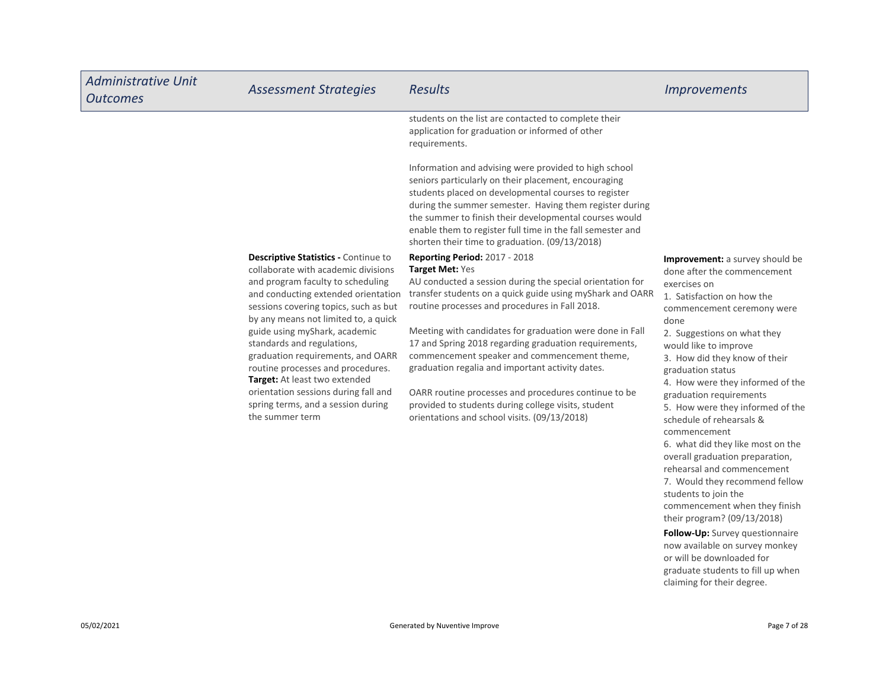| <b>Administrative Unit</b><br><b>Outcomes</b> | <b>Assessment Strategies</b>                                                                                                                                                                                                                                                                                                                                                                                                                                                                                        | <b>Results</b>                                                                                                                                                                                                                                                                                                                                                                                                                                                                                                                                                                                                       | <i>Improvements</i>                                                                                                                                                                                                                                                                                                                                                                                                                                                                                                                                                                                                                             |
|-----------------------------------------------|---------------------------------------------------------------------------------------------------------------------------------------------------------------------------------------------------------------------------------------------------------------------------------------------------------------------------------------------------------------------------------------------------------------------------------------------------------------------------------------------------------------------|----------------------------------------------------------------------------------------------------------------------------------------------------------------------------------------------------------------------------------------------------------------------------------------------------------------------------------------------------------------------------------------------------------------------------------------------------------------------------------------------------------------------------------------------------------------------------------------------------------------------|-------------------------------------------------------------------------------------------------------------------------------------------------------------------------------------------------------------------------------------------------------------------------------------------------------------------------------------------------------------------------------------------------------------------------------------------------------------------------------------------------------------------------------------------------------------------------------------------------------------------------------------------------|
|                                               |                                                                                                                                                                                                                                                                                                                                                                                                                                                                                                                     | students on the list are contacted to complete their<br>application for graduation or informed of other<br>requirements.                                                                                                                                                                                                                                                                                                                                                                                                                                                                                             |                                                                                                                                                                                                                                                                                                                                                                                                                                                                                                                                                                                                                                                 |
|                                               |                                                                                                                                                                                                                                                                                                                                                                                                                                                                                                                     | Information and advising were provided to high school<br>seniors particularly on their placement, encouraging<br>students placed on developmental courses to register<br>during the summer semester. Having them register during<br>the summer to finish their developmental courses would<br>enable them to register full time in the fall semester and<br>shorten their time to graduation. (09/13/2018)                                                                                                                                                                                                           |                                                                                                                                                                                                                                                                                                                                                                                                                                                                                                                                                                                                                                                 |
|                                               | Descriptive Statistics - Continue to<br>collaborate with academic divisions<br>and program faculty to scheduling<br>and conducting extended orientation<br>sessions covering topics, such as but<br>by any means not limited to, a quick<br>guide using myShark, academic<br>standards and regulations,<br>graduation requirements, and OARR<br>routine processes and procedures.<br>Target: At least two extended<br>orientation sessions during fall and<br>spring terms, and a session during<br>the summer term | Reporting Period: 2017 - 2018<br>Target Met: Yes<br>AU conducted a session during the special orientation for<br>transfer students on a quick guide using myShark and OARR<br>routine processes and procedures in Fall 2018.<br>Meeting with candidates for graduation were done in Fall<br>17 and Spring 2018 regarding graduation requirements,<br>commencement speaker and commencement theme,<br>graduation regalia and important activity dates.<br>OARR routine processes and procedures continue to be<br>provided to students during college visits, student<br>orientations and school visits. (09/13/2018) | Improvement: a survey should be<br>done after the commencement<br>exercises on<br>1. Satisfaction on how the<br>commencement ceremony were<br>done<br>2. Suggestions on what they<br>would like to improve<br>3. How did they know of their<br>graduation status<br>4. How were they informed of the<br>graduation requirements<br>5. How were they informed of the<br>schedule of rehearsals &<br>commencement<br>6. what did they like most on the<br>overall graduation preparation,<br>rehearsal and commencement<br>7. Would they recommend fellow<br>students to join the<br>commencement when they finish<br>their program? (09/13/2018) |
|                                               |                                                                                                                                                                                                                                                                                                                                                                                                                                                                                                                     |                                                                                                                                                                                                                                                                                                                                                                                                                                                                                                                                                                                                                      | Follow-Up: Survey questionnaire<br>now available on survey monkey                                                                                                                                                                                                                                                                                                                                                                                                                                                                                                                                                                               |

or will be downloaded for graduate students to fill up when claiming for their degree.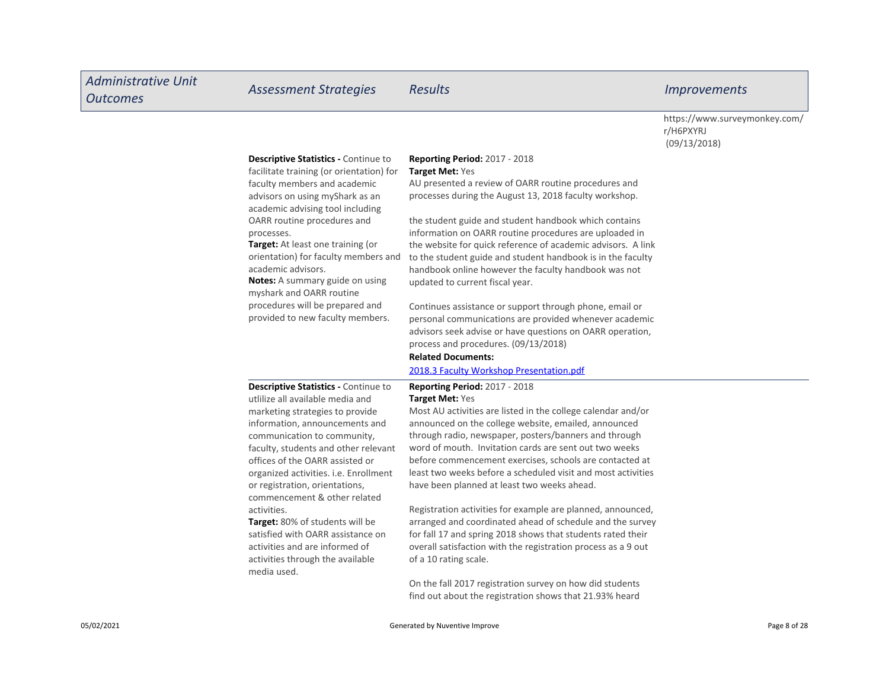https://www.surveymonkey.com/ r/H6PXYRJ (09/13/2018)

| Descriptive Statistics - Continue to                        | <b>Reporting Period: 2017 - 2018</b>                          |
|-------------------------------------------------------------|---------------------------------------------------------------|
| facilitate training (or orientation) for                    | Target Met: Yes                                               |
| faculty members and academic                                | AU presented a review of OARR routine procedures and          |
| advisors on using myShark as an                             | processes during the August 13, 2018 faculty workshop.        |
| academic advising tool including                            |                                                               |
| OARR routine procedures and                                 | the student guide and student handbook which contains         |
| processes.                                                  | information on OARR routine procedures are uploaded in        |
| Target: At least one training (or                           | the website for quick reference of academic advisors. A link  |
| orientation) for faculty members and                        | to the student guide and student handbook is in the faculty   |
| academic advisors.                                          | handbook online however the faculty handbook was not          |
| Notes: A summary guide on using<br>myshark and OARR routine | updated to current fiscal year.                               |
| procedures will be prepared and                             | Continues assistance or support through phone, email or       |
| provided to new faculty members.                            | personal communications are provided whenever academic        |
|                                                             | advisors seek advise or have questions on OARR operation,     |
|                                                             | process and procedures. (09/13/2018)                          |
|                                                             | <b>Related Documents:</b>                                     |
|                                                             | 2018.3 Faculty Workshop Presentation.pdf                      |
| Descriptive Statistics - Continue to                        | <b>Reporting Period: 2017 - 2018</b>                          |
| utlilize all available media and                            | Target Met: Yes                                               |
| marketing strategies to provide                             | Most AU activities are listed in the college calendar and/or  |
| information, announcements and                              | announced on the college website, emailed, announced          |
| communication to community,                                 | through radio, newspaper, posters/banners and through         |
| faculty, students and other relevant                        | word of mouth. Invitation cards are sent out two weeks        |
| offices of the OARR assisted or                             | before commencement exercises, schools are contacted at       |
| organized activities. i.e. Enrollment                       | least two weeks before a scheduled visit and most activities  |
| or registration, orientations,                              | have been planned at least two weeks ahead.                   |
| commencement & other related                                |                                                               |
| activities.                                                 | Registration activities for example are planned, announced,   |
| Target: 80% of students will be                             | arranged and coordinated ahead of schedule and the survey     |
| satisfied with OARR assistance on                           | for fall 17 and spring 2018 shows that students rated their   |
| activities and are informed of                              | overall satisfaction with the registration process as a 9 out |
| activities through the available<br>media used.             | of a 10 rating scale.                                         |
|                                                             | On the fall 2017 registration survey on how did students      |

On the fall 2017 registration survey on how did students find out about the registration shows that 21.93% heard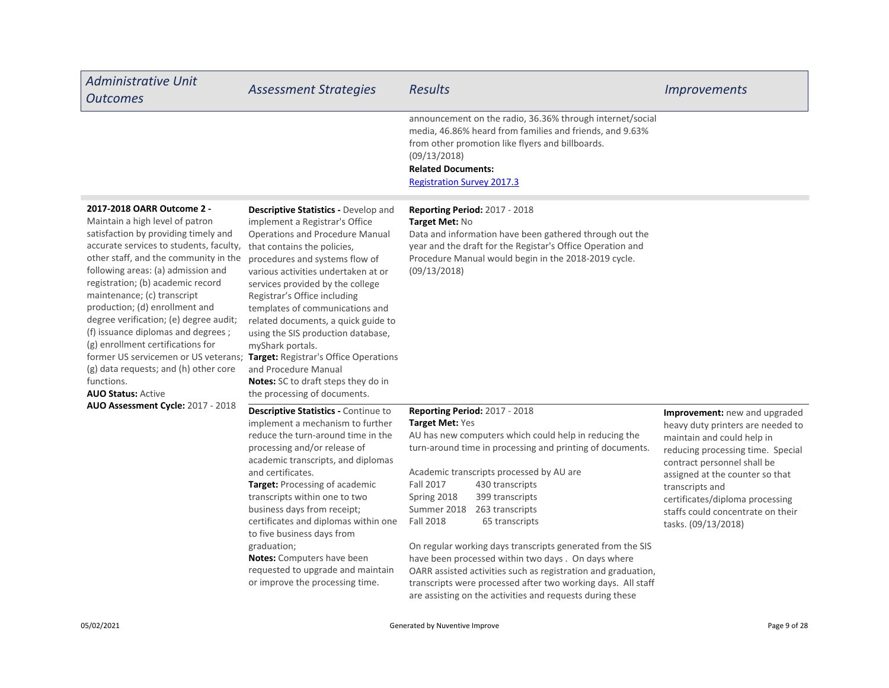| <b>Administrative Unit</b><br><b>Outcomes</b>                                                                                                                                                                                                                                                                                                                                                                                                                                                                                                                                                                                | <b>Assessment Strategies</b>                                                                                                                                                                                                                                                                                                                                                                                                                                                                                                           | <b>Results</b>                                                                                                                                                                                                                                                                                                                                                                                                                                                                                                                                                                                                                                                                        | <i><u><b>Improvements</b></u></i>                                                                                                                                                                                                                                                                                         |
|------------------------------------------------------------------------------------------------------------------------------------------------------------------------------------------------------------------------------------------------------------------------------------------------------------------------------------------------------------------------------------------------------------------------------------------------------------------------------------------------------------------------------------------------------------------------------------------------------------------------------|----------------------------------------------------------------------------------------------------------------------------------------------------------------------------------------------------------------------------------------------------------------------------------------------------------------------------------------------------------------------------------------------------------------------------------------------------------------------------------------------------------------------------------------|---------------------------------------------------------------------------------------------------------------------------------------------------------------------------------------------------------------------------------------------------------------------------------------------------------------------------------------------------------------------------------------------------------------------------------------------------------------------------------------------------------------------------------------------------------------------------------------------------------------------------------------------------------------------------------------|---------------------------------------------------------------------------------------------------------------------------------------------------------------------------------------------------------------------------------------------------------------------------------------------------------------------------|
|                                                                                                                                                                                                                                                                                                                                                                                                                                                                                                                                                                                                                              |                                                                                                                                                                                                                                                                                                                                                                                                                                                                                                                                        | announcement on the radio, 36.36% through internet/social<br>media, 46.86% heard from families and friends, and 9.63%<br>from other promotion like flyers and billboards.<br>(09/13/2018)<br><b>Related Documents:</b><br><b>Registration Survey 2017.3</b>                                                                                                                                                                                                                                                                                                                                                                                                                           |                                                                                                                                                                                                                                                                                                                           |
| 2017-2018 OARR Outcome 2 -<br>Maintain a high level of patron<br>satisfaction by providing timely and<br>accurate services to students, faculty,<br>other staff, and the community in the<br>following areas: (a) admission and<br>registration; (b) academic record<br>maintenance; (c) transcript<br>production; (d) enrollment and<br>degree verification; (e) degree audit;<br>(f) issuance diplomas and degrees;<br>(g) enrollment certifications for<br>former US servicemen or US veterans; Target: Registrar's Office Operations<br>(g) data requests; and (h) other core<br>functions.<br><b>AUO Status: Active</b> | <b>Descriptive Statistics - Develop and</b><br>implement a Registrar's Office<br><b>Operations and Procedure Manual</b><br>that contains the policies,<br>procedures and systems flow of<br>various activities undertaken at or<br>services provided by the college<br>Registrar's Office including<br>templates of communications and<br>related documents, a quick guide to<br>using the SIS production database,<br>myShark portals.<br>and Procedure Manual<br>Notes: SC to draft steps they do in<br>the processing of documents. | <b>Reporting Period: 2017 - 2018</b><br>Target Met: No<br>Data and information have been gathered through out the<br>year and the draft for the Registar's Office Operation and<br>Procedure Manual would begin in the 2018-2019 cycle.<br>(09/13/2018)                                                                                                                                                                                                                                                                                                                                                                                                                               |                                                                                                                                                                                                                                                                                                                           |
| AUO Assessment Cycle: 2017 - 2018                                                                                                                                                                                                                                                                                                                                                                                                                                                                                                                                                                                            | Descriptive Statistics - Continue to<br>implement a mechanism to further<br>reduce the turn-around time in the<br>processing and/or release of<br>academic transcripts, and diplomas<br>and certificates.<br>Target: Processing of academic<br>transcripts within one to two<br>business days from receipt;<br>certificates and diplomas within one<br>to five business days from<br>graduation;<br>Notes: Computers have been<br>requested to upgrade and maintain<br>or improve the processing time.                                 | Reporting Period: 2017 - 2018<br><b>Target Met: Yes</b><br>AU has new computers which could help in reducing the<br>turn-around time in processing and printing of documents.<br>Academic transcripts processed by AU are<br>Fall 2017<br>430 transcripts<br>Spring 2018<br>399 transcripts<br>Summer 2018<br>263 transcripts<br><b>Fall 2018</b><br>65 transcripts<br>On regular working days transcripts generated from the SIS<br>have been processed within two days. On days where<br>OARR assisted activities such as registration and graduation,<br>transcripts were processed after two working days. All staff<br>are assisting on the activities and requests during these | Improvement: new and upgraded<br>heavy duty printers are needed to<br>maintain and could help in<br>reducing processing time. Special<br>contract personnel shall be<br>assigned at the counter so that<br>transcripts and<br>certificates/diploma processing<br>staffs could concentrate on their<br>tasks. (09/13/2018) |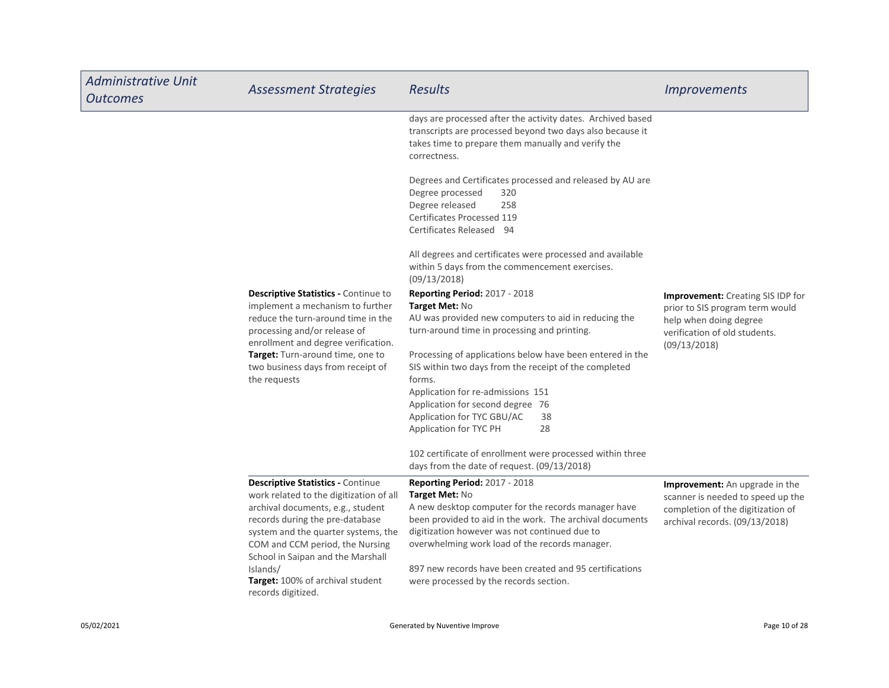| <b>Administrative Unit</b><br><b>Outcomes</b> | <b>Assessment Strategies</b>                                                                                                                                                                                                                                                                                                                     | <b>Results</b>                                                                                                                                                                                                                                                                                                                                                                                                                                                                                                                                                                                                                                                                                                                                                                                                                                                                                                                                                                                                                                                | <i><u><b>Improvements</b></u></i>                                                                                                                      |
|-----------------------------------------------|--------------------------------------------------------------------------------------------------------------------------------------------------------------------------------------------------------------------------------------------------------------------------------------------------------------------------------------------------|---------------------------------------------------------------------------------------------------------------------------------------------------------------------------------------------------------------------------------------------------------------------------------------------------------------------------------------------------------------------------------------------------------------------------------------------------------------------------------------------------------------------------------------------------------------------------------------------------------------------------------------------------------------------------------------------------------------------------------------------------------------------------------------------------------------------------------------------------------------------------------------------------------------------------------------------------------------------------------------------------------------------------------------------------------------|--------------------------------------------------------------------------------------------------------------------------------------------------------|
|                                               | <b>Descriptive Statistics - Continue to</b><br>implement a mechanism to further<br>reduce the turn-around time in the<br>processing and/or release of<br>enrollment and degree verification.<br>Target: Turn-around time, one to<br>two business days from receipt of<br>the requests                                                            | days are processed after the activity dates. Archived based<br>transcripts are processed beyond two days also because it<br>takes time to prepare them manually and verify the<br>correctness.<br>Degrees and Certificates processed and released by AU are<br>Degree processed<br>320<br>Degree released<br>258<br>Certificates Processed 119<br>Certificates Released 94<br>All degrees and certificates were processed and available<br>within 5 days from the commencement exercises.<br>(09/13/2018)<br>Reporting Period: 2017 - 2018<br>Target Met: No<br>AU was provided new computers to aid in reducing the<br>turn-around time in processing and printing.<br>Processing of applications below have been entered in the<br>SIS within two days from the receipt of the completed<br>forms.<br>Application for re-admissions 151<br>Application for second degree 76<br>Application for TYC GBU/AC<br>38<br>28<br>Application for TYC PH<br>102 certificate of enrollment were processed within three<br>days from the date of request. (09/13/2018) | <b>Improvement:</b> Creating SIS IDP for<br>prior to SIS program term would<br>help when doing degree<br>verification of old students.<br>(09/13/2018) |
|                                               | <b>Descriptive Statistics - Continue</b><br>work related to the digitization of all<br>archival documents, e.g., student<br>records during the pre-database<br>system and the quarter systems, the<br>COM and CCM period, the Nursing<br>School in Saipan and the Marshall<br>Islands/<br>Target: 100% of archival student<br>records digitized. | Reporting Period: 2017 - 2018<br>Target Met: No<br>A new desktop computer for the records manager have<br>been provided to aid in the work. The archival documents<br>digitization however was not continued due to<br>overwhelming work load of the records manager.<br>897 new records have been created and 95 certifications<br>were processed by the records section.                                                                                                                                                                                                                                                                                                                                                                                                                                                                                                                                                                                                                                                                                    | Improvement: An upgrade in the<br>scanner is needed to speed up the<br>completion of the digitization of<br>archival records. (09/13/2018)             |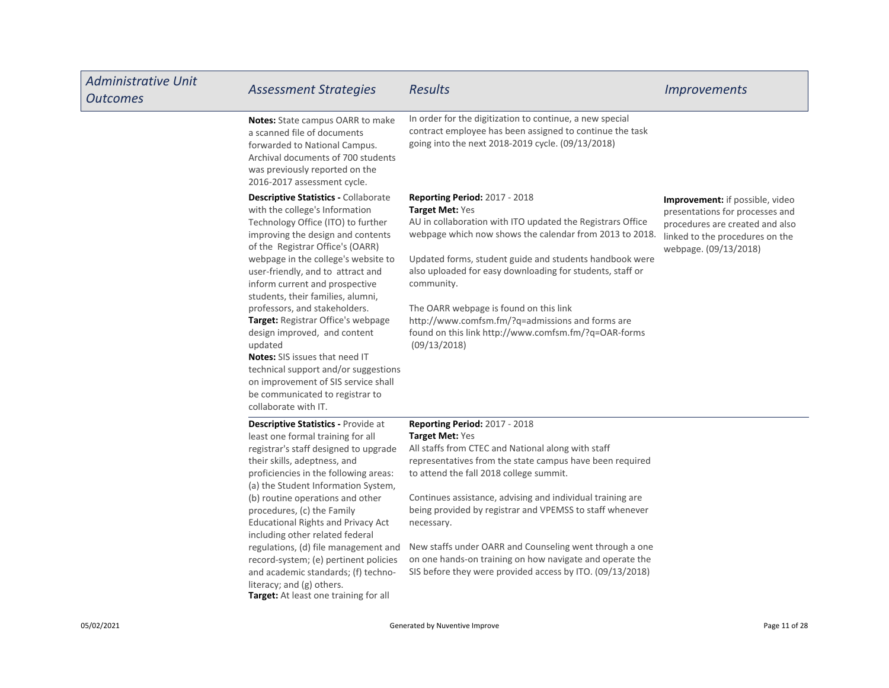| <b>Administrative Unit</b><br><b>Outcomes</b> | <b>Assessment Strategies</b>                                                                                                                                                                                                                                                                                                                                                                                                                                                                                                                                                                                                                                | <b>Results</b>                                                                                                                                                                                                                                                                                                                                                                                                                                                                                                                                          | <b>Improvements</b>                                                                                                                                                      |
|-----------------------------------------------|-------------------------------------------------------------------------------------------------------------------------------------------------------------------------------------------------------------------------------------------------------------------------------------------------------------------------------------------------------------------------------------------------------------------------------------------------------------------------------------------------------------------------------------------------------------------------------------------------------------------------------------------------------------|---------------------------------------------------------------------------------------------------------------------------------------------------------------------------------------------------------------------------------------------------------------------------------------------------------------------------------------------------------------------------------------------------------------------------------------------------------------------------------------------------------------------------------------------------------|--------------------------------------------------------------------------------------------------------------------------------------------------------------------------|
|                                               | <b>Notes:</b> State campus OARR to make<br>a scanned file of documents<br>forwarded to National Campus.<br>Archival documents of 700 students<br>was previously reported on the<br>2016-2017 assessment cycle.                                                                                                                                                                                                                                                                                                                                                                                                                                              | In order for the digitization to continue, a new special<br>contract employee has been assigned to continue the task<br>going into the next 2018-2019 cycle. (09/13/2018)                                                                                                                                                                                                                                                                                                                                                                               |                                                                                                                                                                          |
|                                               | <b>Descriptive Statistics - Collaborate</b><br>with the college's Information<br>Technology Office (ITO) to further<br>improving the design and contents<br>of the Registrar Office's (OARR)<br>webpage in the college's website to<br>user-friendly, and to attract and<br>inform current and prospective<br>students, their families, alumni,<br>professors, and stakeholders.<br><b>Target:</b> Registrar Office's webpage<br>design improved, and content<br>updated<br><b>Notes:</b> SIS issues that need IT<br>technical support and/or suggestions<br>on improvement of SIS service shall<br>be communicated to registrar to<br>collaborate with IT. | <b>Reporting Period: 2017 - 2018</b><br>Target Met: Yes<br>AU in collaboration with ITO updated the Registrars Office<br>webpage which now shows the calendar from 2013 to 2018.<br>Updated forms, student guide and students handbook were<br>also uploaded for easy downloading for students, staff or<br>community.<br>The OARR webpage is found on this link<br>http://www.comfsm.fm/?q=admissions and forms are<br>found on this link http://www.comfsm.fm/?q=OAR-forms<br>(09/13/2018)                                                            | <b>Improvement:</b> if possible, video<br>presentations for processes and<br>procedures are created and also<br>linked to the procedures on the<br>webpage. (09/13/2018) |
|                                               | Descriptive Statistics - Provide at<br>least one formal training for all<br>registrar's staff designed to upgrade<br>their skills, adeptness, and<br>proficiencies in the following areas:<br>(a) the Student Information System,<br>(b) routine operations and other<br>procedures, (c) the Family<br><b>Educational Rights and Privacy Act</b><br>including other related federal<br>regulations, (d) file management and<br>record-system; (e) pertinent policies<br>and academic standards; (f) techno-<br>literacy; and (g) others.<br><b>Target:</b> At least one training for all                                                                    | <b>Reporting Period: 2017 - 2018</b><br><b>Target Met: Yes</b><br>All staffs from CTEC and National along with staff<br>representatives from the state campus have been required<br>to attend the fall 2018 college summit.<br>Continues assistance, advising and individual training are<br>being provided by registrar and VPEMSS to staff whenever<br>necessary.<br>New staffs under OARR and Counseling went through a one<br>on one hands-on training on how navigate and operate the<br>SIS before they were provided access by ITO. (09/13/2018) |                                                                                                                                                                          |
| 05/02/2021                                    |                                                                                                                                                                                                                                                                                                                                                                                                                                                                                                                                                                                                                                                             | Generated by Nuventive Improve                                                                                                                                                                                                                                                                                                                                                                                                                                                                                                                          | Page 11 of 28                                                                                                                                                            |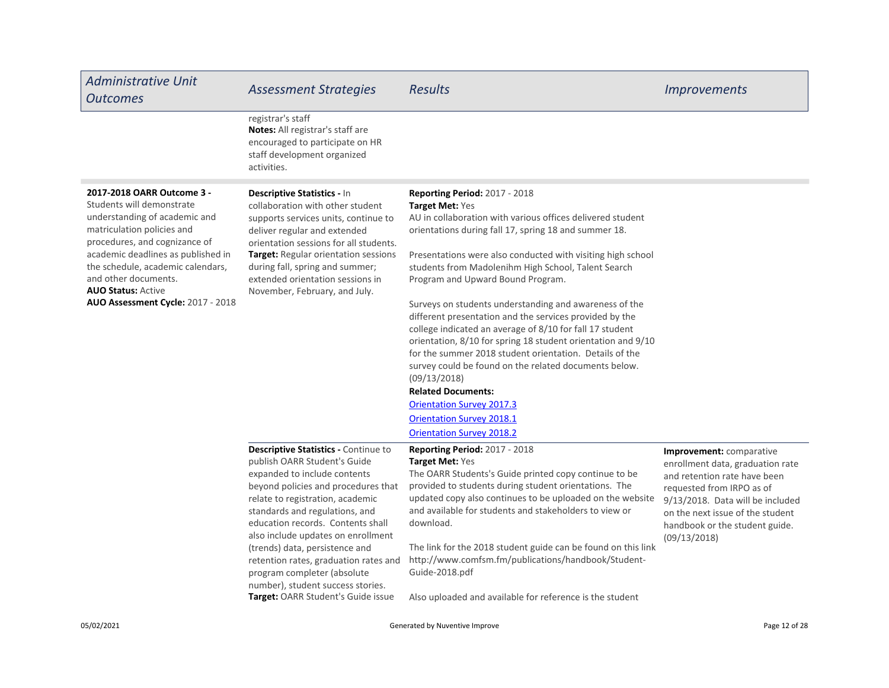| <b>Administrative Unit</b><br><b>Outcomes</b>                                                                                                                                                                                                                                                                                | <b>Assessment Strategies</b>                                                                                                                                                                                                                                                                                                                                                                                                                                                             | <b>Results</b>                                                                                                                                                                                                                                                                                                                                                                                                                                                                                                                                                                                                                                                                                                                                                                                                                                                          | <b>Improvements</b>                                                                                                                                                                                                                                 |
|------------------------------------------------------------------------------------------------------------------------------------------------------------------------------------------------------------------------------------------------------------------------------------------------------------------------------|------------------------------------------------------------------------------------------------------------------------------------------------------------------------------------------------------------------------------------------------------------------------------------------------------------------------------------------------------------------------------------------------------------------------------------------------------------------------------------------|-------------------------------------------------------------------------------------------------------------------------------------------------------------------------------------------------------------------------------------------------------------------------------------------------------------------------------------------------------------------------------------------------------------------------------------------------------------------------------------------------------------------------------------------------------------------------------------------------------------------------------------------------------------------------------------------------------------------------------------------------------------------------------------------------------------------------------------------------------------------------|-----------------------------------------------------------------------------------------------------------------------------------------------------------------------------------------------------------------------------------------------------|
|                                                                                                                                                                                                                                                                                                                              | registrar's staff<br>Notes: All registrar's staff are<br>encouraged to participate on HR<br>staff development organized<br>activities.                                                                                                                                                                                                                                                                                                                                                   |                                                                                                                                                                                                                                                                                                                                                                                                                                                                                                                                                                                                                                                                                                                                                                                                                                                                         |                                                                                                                                                                                                                                                     |
| 2017-2018 OARR Outcome 3 -<br>Students will demonstrate<br>understanding of academic and<br>matriculation policies and<br>procedures, and cognizance of<br>academic deadlines as published in<br>the schedule, academic calendars,<br>and other documents.<br><b>AUO Status: Active</b><br>AUO Assessment Cycle: 2017 - 2018 | <b>Descriptive Statistics - In</b><br>collaboration with other student<br>supports services units, continue to<br>deliver regular and extended<br>orientation sessions for all students.<br>Target: Regular orientation sessions<br>during fall, spring and summer;<br>extended orientation sessions in<br>November, February, and July.                                                                                                                                                 | <b>Reporting Period: 2017 - 2018</b><br>Target Met: Yes<br>AU in collaboration with various offices delivered student<br>orientations during fall 17, spring 18 and summer 18.<br>Presentations were also conducted with visiting high school<br>students from Madolenihm High School, Talent Search<br>Program and Upward Bound Program.<br>Surveys on students understanding and awareness of the<br>different presentation and the services provided by the<br>college indicated an average of 8/10 for fall 17 student<br>orientation, 8/10 for spring 18 student orientation and 9/10<br>for the summer 2018 student orientation. Details of the<br>survey could be found on the related documents below.<br>(09/13/2018)<br><b>Related Documents:</b><br><b>Orientation Survey 2017.3</b><br><b>Orientation Survey 2018.1</b><br><b>Orientation Survey 2018.2</b> |                                                                                                                                                                                                                                                     |
|                                                                                                                                                                                                                                                                                                                              | <b>Descriptive Statistics - Continue to</b><br>publish OARR Student's Guide<br>expanded to include contents<br>beyond policies and procedures that<br>relate to registration, academic<br>standards and regulations, and<br>education records. Contents shall<br>also include updates on enrollment<br>(trends) data, persistence and<br>retention rates, graduation rates and<br>program completer (absolute<br>number), student success stories.<br>Target: OARR Student's Guide issue | <b>Reporting Period: 2017 - 2018</b><br>Target Met: Yes<br>The OARR Students's Guide printed copy continue to be<br>provided to students during student orientations. The<br>updated copy also continues to be uploaded on the website<br>and available for students and stakeholders to view or<br>download.<br>The link for the 2018 student guide can be found on this link<br>http://www.comfsm.fm/publications/handbook/Student-<br>Guide-2018.pdf<br>Also uploaded and available for reference is the student                                                                                                                                                                                                                                                                                                                                                     | Improvement: comparative<br>enrollment data, graduation rate<br>and retention rate have been<br>requested from IRPO as of<br>9/13/2018. Data will be included<br>on the next issue of the student<br>handbook or the student guide.<br>(09/13/2018) |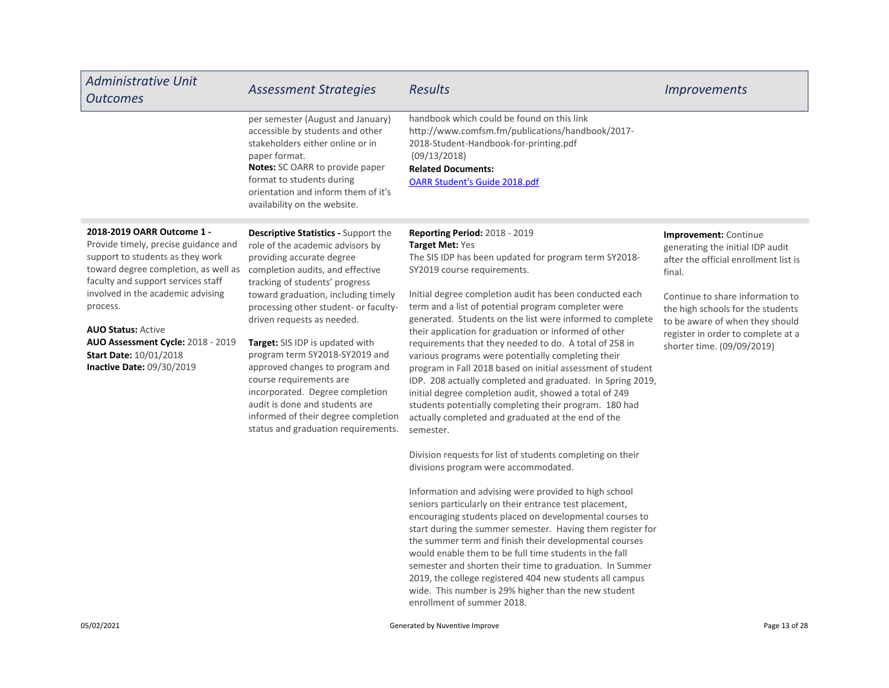| <b>Administrative Unit</b><br><b>Outcomes</b>                                                                                                                                                                                                                                                                                                                         | <b>Assessment Strategies</b>                                                                                                                                                                                                                                                                                                                                                                                                                                                                                                                                                           | <b>Results</b>                                                                                                                                                                                                                                                                                                                                                                                                                                                                                                                                                                                                                                                                                                                                                                                                                                                                                                                                                                             | <i>Improvements</i>                                                                                                                                                                                                                                                                          |
|-----------------------------------------------------------------------------------------------------------------------------------------------------------------------------------------------------------------------------------------------------------------------------------------------------------------------------------------------------------------------|----------------------------------------------------------------------------------------------------------------------------------------------------------------------------------------------------------------------------------------------------------------------------------------------------------------------------------------------------------------------------------------------------------------------------------------------------------------------------------------------------------------------------------------------------------------------------------------|--------------------------------------------------------------------------------------------------------------------------------------------------------------------------------------------------------------------------------------------------------------------------------------------------------------------------------------------------------------------------------------------------------------------------------------------------------------------------------------------------------------------------------------------------------------------------------------------------------------------------------------------------------------------------------------------------------------------------------------------------------------------------------------------------------------------------------------------------------------------------------------------------------------------------------------------------------------------------------------------|----------------------------------------------------------------------------------------------------------------------------------------------------------------------------------------------------------------------------------------------------------------------------------------------|
|                                                                                                                                                                                                                                                                                                                                                                       | per semester (August and January)<br>accessible by students and other<br>stakeholders either online or in<br>paper format.<br>Notes: SC OARR to provide paper<br>format to students during<br>orientation and inform them of it's<br>availability on the website.                                                                                                                                                                                                                                                                                                                      | handbook which could be found on this link<br>http://www.comfsm.fm/publications/handbook/2017-<br>2018-Student-Handbook-for-printing.pdf<br>(09/13/2018)<br><b>Related Documents:</b><br><b>OARR Student's Guide 2018.pdf</b>                                                                                                                                                                                                                                                                                                                                                                                                                                                                                                                                                                                                                                                                                                                                                              |                                                                                                                                                                                                                                                                                              |
| 2018-2019 OARR Outcome 1 -<br>Provide timely, precise guidance and<br>support to students as they work<br>toward degree completion, as well as<br>faculty and support services staff<br>involved in the academic advising<br>process.<br><b>AUO Status: Active</b><br>AUO Assessment Cycle: 2018 - 2019<br><b>Start Date: 10/01/2018</b><br>Inactive Date: 09/30/2019 | Descriptive Statistics - Support the<br>role of the academic advisors by<br>providing accurate degree<br>completion audits, and effective<br>tracking of students' progress<br>toward graduation, including timely<br>processing other student- or faculty-<br>driven requests as needed.<br><b>Target:</b> SIS IDP is updated with<br>program term SY2018-SY2019 and<br>approved changes to program and<br>course requirements are<br>incorporated. Degree completion<br>audit is done and students are<br>informed of their degree completion<br>status and graduation requirements. | <b>Reporting Period: 2018 - 2019</b><br>Target Met: Yes<br>The SIS IDP has been updated for program term SY2018-<br>SY2019 course requirements.<br>Initial degree completion audit has been conducted each<br>term and a list of potential program completer were<br>generated. Students on the list were informed to complete<br>their application for graduation or informed of other<br>requirements that they needed to do. A total of 258 in<br>various programs were potentially completing their<br>program in Fall 2018 based on initial assessment of student<br>IDP. 208 actually completed and graduated. In Spring 2019,<br>initial degree completion audit, showed a total of 249<br>students potentially completing their program. 180 had<br>actually completed and graduated at the end of the<br>semester.<br>Division requests for list of students completing on their<br>divisions program were accommodated.<br>Information and advising were provided to high school | Improvement: Continue<br>generating the initial IDP audit<br>after the official enrollment list is<br>final.<br>Continue to share information to<br>the high schools for the students<br>to be aware of when they should<br>register in order to complete at a<br>shorter time. (09/09/2019) |
|                                                                                                                                                                                                                                                                                                                                                                       |                                                                                                                                                                                                                                                                                                                                                                                                                                                                                                                                                                                        | seniors particularly on their entrance test placement,<br>encouraging students placed on developmental courses to<br>start during the summer semester. Having them register for<br>the summer term and finish their developmental courses                                                                                                                                                                                                                                                                                                                                                                                                                                                                                                                                                                                                                                                                                                                                                  |                                                                                                                                                                                                                                                                                              |

enrollment of summer 2018.

would enable them to be full time students in the fall semester and shorten their time to graduation. In Summer 2019, the college registered 404 new students all campus wide. This number is 29% higher than the new student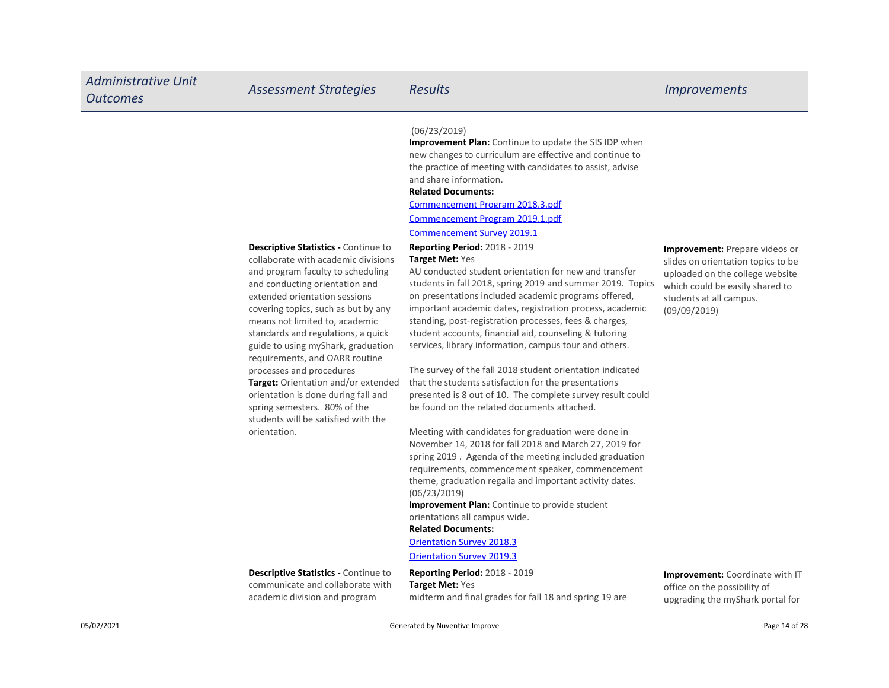| <b>Administrative Unit</b><br><b>Outcomes</b> | <b>Assessment Strategies</b>                                                                                                                                                                                                                                                                                                                                                                                                                                                                                                                                                       | <b>Results</b>                                                                                                                                                                                                                                                                                                                                                                                                                                                                                                                                                                                                                                                                                                                                                                                                                                                                                                                                                                                                                                                                                                                                                                                                                                                                                                                                                                                                                                                                                                                                                                                | <i>Improvements</i>                                                                                                                                                                          |
|-----------------------------------------------|------------------------------------------------------------------------------------------------------------------------------------------------------------------------------------------------------------------------------------------------------------------------------------------------------------------------------------------------------------------------------------------------------------------------------------------------------------------------------------------------------------------------------------------------------------------------------------|-----------------------------------------------------------------------------------------------------------------------------------------------------------------------------------------------------------------------------------------------------------------------------------------------------------------------------------------------------------------------------------------------------------------------------------------------------------------------------------------------------------------------------------------------------------------------------------------------------------------------------------------------------------------------------------------------------------------------------------------------------------------------------------------------------------------------------------------------------------------------------------------------------------------------------------------------------------------------------------------------------------------------------------------------------------------------------------------------------------------------------------------------------------------------------------------------------------------------------------------------------------------------------------------------------------------------------------------------------------------------------------------------------------------------------------------------------------------------------------------------------------------------------------------------------------------------------------------------|----------------------------------------------------------------------------------------------------------------------------------------------------------------------------------------------|
|                                               | <b>Descriptive Statistics - Continue to</b><br>collaborate with academic divisions<br>and program faculty to scheduling<br>and conducting orientation and<br>extended orientation sessions<br>covering topics, such as but by any<br>means not limited to, academic<br>standards and regulations, a quick<br>guide to using myShark, graduation<br>requirements, and OARR routine<br>processes and procedures<br>Target: Orientation and/or extended<br>orientation is done during fall and<br>spring semesters. 80% of the<br>students will be satisfied with the<br>orientation. | (06/23/2019)<br>Improvement Plan: Continue to update the SIS IDP when<br>new changes to curriculum are effective and continue to<br>the practice of meeting with candidates to assist, advise<br>and share information.<br><b>Related Documents:</b><br>Commencement Program 2018.3.pdf<br>Commencement Program 2019.1.pdf<br><b>Commencement Survey 2019.1</b><br><b>Reporting Period: 2018 - 2019</b><br>Target Met: Yes<br>AU conducted student orientation for new and transfer<br>students in fall 2018, spring 2019 and summer 2019. Topics<br>on presentations included academic programs offered,<br>important academic dates, registration process, academic<br>standing, post-registration processes, fees & charges,<br>student accounts, financial aid, counseling & tutoring<br>services, library information, campus tour and others.<br>The survey of the fall 2018 student orientation indicated<br>that the students satisfaction for the presentations<br>presented is 8 out of 10. The complete survey result could<br>be found on the related documents attached.<br>Meeting with candidates for graduation were done in<br>November 14, 2018 for fall 2018 and March 27, 2019 for<br>spring 2019. Agenda of the meeting included graduation<br>requirements, commencement speaker, commencement<br>theme, graduation regalia and important activity dates.<br>(06/23/2019)<br><b>Improvement Plan:</b> Continue to provide student<br>orientations all campus wide.<br><b>Related Documents:</b><br><b>Orientation Survey 2018.3</b><br><b>Orientation Survey 2019.3</b> | <b>Improvement:</b> Prepare videos or<br>slides on orientation topics to be<br>uploaded on the college website<br>which could be easily shared to<br>students at all campus.<br>(09/09/2019) |
|                                               | <b>Descriptive Statistics - Continue to</b><br>communicate and collaborate with<br>academic division and program                                                                                                                                                                                                                                                                                                                                                                                                                                                                   | Reporting Period: 2018 - 2019<br>Target Met: Yes<br>midterm and final grades for fall 18 and spring 19 are                                                                                                                                                                                                                                                                                                                                                                                                                                                                                                                                                                                                                                                                                                                                                                                                                                                                                                                                                                                                                                                                                                                                                                                                                                                                                                                                                                                                                                                                                    | Improvement: Coordinate with IT<br>office on the possibility of<br>upgrading the myShark portal for                                                                                          |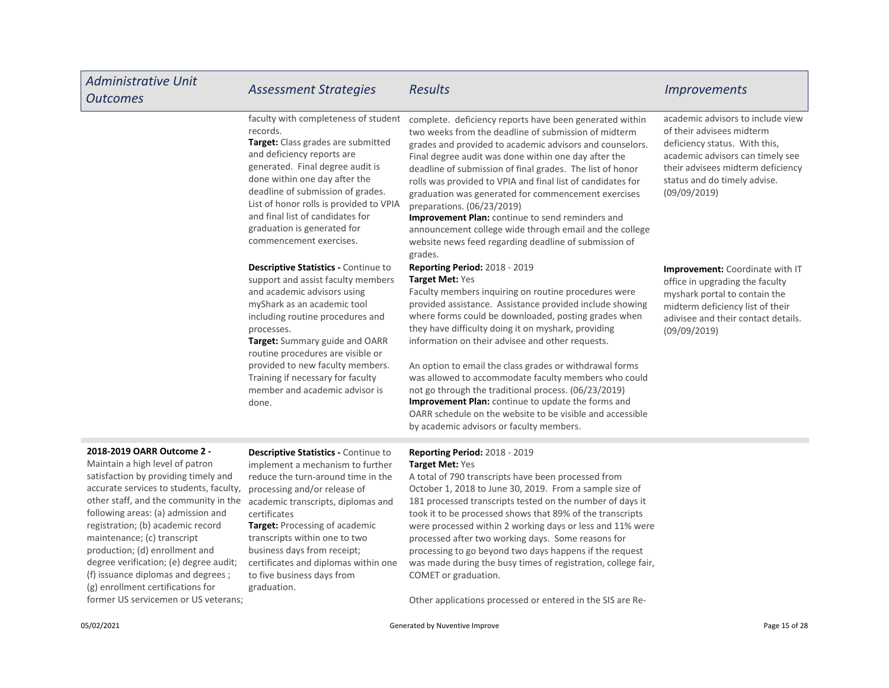| <b>Administrative Unit</b><br><b>Outcomes</b>                                                                                                                                                                                                                                                                                                                                                                                                                                                      | <b>Assessment Strategies</b>                                                                                                                                                                                                                                                                                                                                                                 | <b>Results</b>                                                                                                                                                                                                                                                                                                                                                                                                                                                                                                                                                                                                                                                                    | <i><u><b>Improvements</b></u></i>                                                                                                                                                                                        |
|----------------------------------------------------------------------------------------------------------------------------------------------------------------------------------------------------------------------------------------------------------------------------------------------------------------------------------------------------------------------------------------------------------------------------------------------------------------------------------------------------|----------------------------------------------------------------------------------------------------------------------------------------------------------------------------------------------------------------------------------------------------------------------------------------------------------------------------------------------------------------------------------------------|-----------------------------------------------------------------------------------------------------------------------------------------------------------------------------------------------------------------------------------------------------------------------------------------------------------------------------------------------------------------------------------------------------------------------------------------------------------------------------------------------------------------------------------------------------------------------------------------------------------------------------------------------------------------------------------|--------------------------------------------------------------------------------------------------------------------------------------------------------------------------------------------------------------------------|
|                                                                                                                                                                                                                                                                                                                                                                                                                                                                                                    | faculty with completeness of student<br>records.<br>Target: Class grades are submitted<br>and deficiency reports are<br>generated. Final degree audit is<br>done within one day after the<br>deadline of submission of grades.<br>List of honor rolls is provided to VPIA<br>and final list of candidates for<br>graduation is generated for<br>commencement exercises.                      | complete. deficiency reports have been generated within<br>two weeks from the deadline of submission of midterm<br>grades and provided to academic advisors and counselors.<br>Final degree audit was done within one day after the<br>deadline of submission of final grades. The list of honor<br>rolls was provided to VPIA and final list of candidates for<br>graduation was generated for commencement exercises<br>preparations. (06/23/2019)<br>Improvement Plan: continue to send reminders and<br>announcement college wide through email and the college<br>website news feed regarding deadline of submission of<br>grades.                                           | academic advisors to include view<br>of their advisees midterm<br>deficiency status. With this,<br>academic advisors can timely see<br>their advisees midterm deficiency<br>status and do timely advise.<br>(09/09/2019) |
|                                                                                                                                                                                                                                                                                                                                                                                                                                                                                                    | <b>Descriptive Statistics - Continue to</b><br>support and assist faculty members<br>and academic advisors using<br>myShark as an academic tool<br>including routine procedures and<br>processes.<br>Target: Summary guide and OARR<br>routine procedures are visible or<br>provided to new faculty members.<br>Training if necessary for faculty<br>member and academic advisor is<br>done. | Reporting Period: 2018 - 2019<br>Target Met: Yes<br>Faculty members inquiring on routine procedures were<br>provided assistance. Assistance provided include showing<br>where forms could be downloaded, posting grades when<br>they have difficulty doing it on myshark, providing<br>information on their advisee and other requests.<br>An option to email the class grades or withdrawal forms<br>was allowed to accommodate faculty members who could<br>not go through the traditional process. (06/23/2019)<br>Improvement Plan: continue to update the forms and<br>OARR schedule on the website to be visible and accessible<br>by academic advisors or faculty members. | <b>Improvement:</b> Coordinate with IT<br>office in upgrading the faculty<br>myshark portal to contain the<br>midterm deficiency list of their<br>adivisee and their contact details.<br>(09/09/2019)                    |
| 2018-2019 OARR Outcome 2 -<br>Maintain a high level of patron<br>satisfaction by providing timely and<br>accurate services to students, faculty,<br>other staff, and the community in the<br>following areas: (a) admission and<br>registration; (b) academic record<br>maintenance; (c) transcript<br>production; (d) enrollment and<br>degree verification; (e) degree audit;<br>(f) issuance diplomas and degrees;<br>(g) enrollment certifications for<br>former US servicemen or US veterans; | Descriptive Statistics - Continue to<br>implement a mechanism to further<br>reduce the turn-around time in the<br>processing and/or release of<br>academic transcripts, diplomas and<br>certificates<br>Target: Processing of academic<br>transcripts within one to two<br>business days from receipt;<br>certificates and diplomas within one<br>to five business days from<br>graduation.  | <b>Reporting Period: 2018 - 2019</b><br>Target Met: Yes<br>A total of 790 transcripts have been processed from<br>October 1, 2018 to June 30, 2019. From a sample size of<br>181 processed transcripts tested on the number of days it<br>took it to be processed shows that 89% of the transcripts<br>were processed within 2 working days or less and 11% were<br>processed after two working days. Some reasons for<br>processing to go beyond two days happens if the request<br>was made during the busy times of registration, college fair,<br>COMET or graduation.<br>Other applications processed or entered in the SIS are Re-                                          |                                                                                                                                                                                                                          |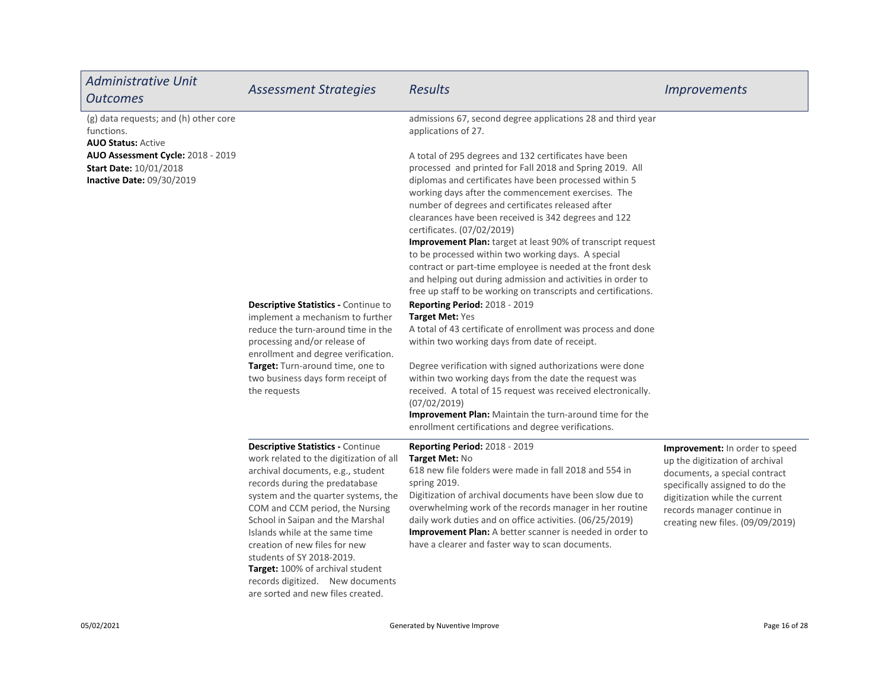| <b>Administrative Unit</b><br><b>Outcomes</b>                                                          | <b>Assessment Strategies</b>                                                                                                                                                                                                                                                                                                                                                                                                                                                          | <b>Results</b>                                                                                                                                                                                                                                                                                                                                                                                                                                                                                                                                                                                                                                                                                                                                                                                                                                                                                                                                                                                                                                                                                                                                                                               | <i>Improvements</i>                                                                                                                                                                                                                        |
|--------------------------------------------------------------------------------------------------------|---------------------------------------------------------------------------------------------------------------------------------------------------------------------------------------------------------------------------------------------------------------------------------------------------------------------------------------------------------------------------------------------------------------------------------------------------------------------------------------|----------------------------------------------------------------------------------------------------------------------------------------------------------------------------------------------------------------------------------------------------------------------------------------------------------------------------------------------------------------------------------------------------------------------------------------------------------------------------------------------------------------------------------------------------------------------------------------------------------------------------------------------------------------------------------------------------------------------------------------------------------------------------------------------------------------------------------------------------------------------------------------------------------------------------------------------------------------------------------------------------------------------------------------------------------------------------------------------------------------------------------------------------------------------------------------------|--------------------------------------------------------------------------------------------------------------------------------------------------------------------------------------------------------------------------------------------|
| (g) data requests; and (h) other core<br>functions.<br><b>AUO Status: Active</b>                       |                                                                                                                                                                                                                                                                                                                                                                                                                                                                                       | admissions 67, second degree applications 28 and third year<br>applications of 27.                                                                                                                                                                                                                                                                                                                                                                                                                                                                                                                                                                                                                                                                                                                                                                                                                                                                                                                                                                                                                                                                                                           |                                                                                                                                                                                                                                            |
| AUO Assessment Cycle: 2018 - 2019<br><b>Start Date: 10/01/2018</b><br><b>Inactive Date: 09/30/2019</b> | <b>Descriptive Statistics - Continue to</b><br>implement a mechanism to further<br>reduce the turn-around time in the<br>processing and/or release of<br>enrollment and degree verification.<br>Target: Turn-around time, one to<br>two business days form receipt of<br>the requests                                                                                                                                                                                                 | A total of 295 degrees and 132 certificates have been<br>processed and printed for Fall 2018 and Spring 2019. All<br>diplomas and certificates have been processed within 5<br>working days after the commencement exercises. The<br>number of degrees and certificates released after<br>clearances have been received is 342 degrees and 122<br>certificates. (07/02/2019)<br>Improvement Plan: target at least 90% of transcript request<br>to be processed within two working days. A special<br>contract or part-time employee is needed at the front desk<br>and helping out during admission and activities in order to<br>free up staff to be working on transcripts and certifications.<br>Reporting Period: 2018 - 2019<br>Target Met: Yes<br>A total of 43 certificate of enrollment was process and done<br>within two working days from date of receipt.<br>Degree verification with signed authorizations were done<br>within two working days from the date the request was<br>received. A total of 15 request was received electronically.<br>(07/02/2019)<br>Improvement Plan: Maintain the turn-around time for the<br>enrollment certifications and degree verifications. |                                                                                                                                                                                                                                            |
|                                                                                                        | <b>Descriptive Statistics - Continue</b><br>work related to the digitization of all<br>archival documents, e.g., student<br>records during the predatabase<br>system and the quarter systems, the<br>COM and CCM period, the Nursing<br>School in Saipan and the Marshal<br>Islands while at the same time<br>creation of new files for new<br>students of SY 2018-2019.<br>Target: 100% of archival student<br>records digitized. New documents<br>are sorted and new files created. | Reporting Period: 2018 - 2019<br>Target Met: No<br>618 new file folders were made in fall 2018 and 554 in<br>spring 2019.<br>Digitization of archival documents have been slow due to<br>overwhelming work of the records manager in her routine<br>daily work duties and on office activities. (06/25/2019)<br>Improvement Plan: A better scanner is needed in order to<br>have a clearer and faster way to scan documents.                                                                                                                                                                                                                                                                                                                                                                                                                                                                                                                                                                                                                                                                                                                                                                 | Improvement: In order to speed<br>up the digitization of archival<br>documents, a special contract<br>specifically assigned to do the<br>digitization while the current<br>records manager continue in<br>creating new files. (09/09/2019) |

г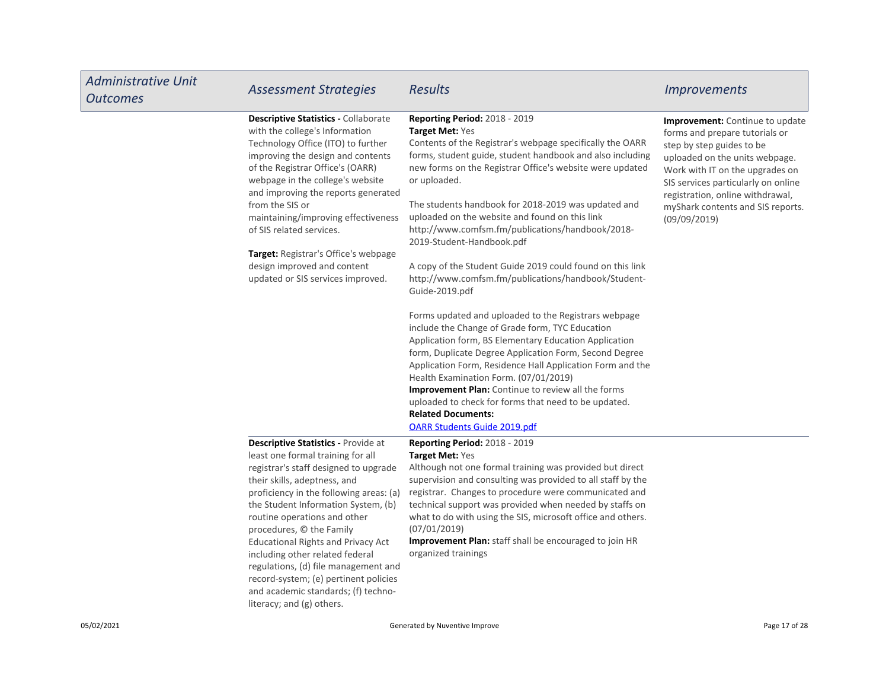| <b>Administrative Unit</b><br><b>Outcomes</b> | <b>Assessment Strategies</b>                                                                                                                                                                                                                                                                                                                                                                                                                                                                                                         | <b>Results</b>                                                                                                                                                                                                                                                                                                                                                                                                                                                                                                                                                                                                                                                                                                                                                                                                                                                                                                                                                                                                                                                                                                                    | <i><u><b>Improvements</b></u></i>                                                                                                                                                                                                                                                                          |
|-----------------------------------------------|--------------------------------------------------------------------------------------------------------------------------------------------------------------------------------------------------------------------------------------------------------------------------------------------------------------------------------------------------------------------------------------------------------------------------------------------------------------------------------------------------------------------------------------|-----------------------------------------------------------------------------------------------------------------------------------------------------------------------------------------------------------------------------------------------------------------------------------------------------------------------------------------------------------------------------------------------------------------------------------------------------------------------------------------------------------------------------------------------------------------------------------------------------------------------------------------------------------------------------------------------------------------------------------------------------------------------------------------------------------------------------------------------------------------------------------------------------------------------------------------------------------------------------------------------------------------------------------------------------------------------------------------------------------------------------------|------------------------------------------------------------------------------------------------------------------------------------------------------------------------------------------------------------------------------------------------------------------------------------------------------------|
|                                               | <b>Descriptive Statistics - Collaborate</b><br>with the college's Information<br>Technology Office (ITO) to further<br>improving the design and contents<br>of the Registrar Office's (OARR)<br>webpage in the college's website<br>and improving the reports generated<br>from the SIS or<br>maintaining/improving effectiveness<br>of SIS related services.<br><b>Target:</b> Registrar's Office's webpage<br>design improved and content<br>updated or SIS services improved.                                                     | <b>Reporting Period: 2018 - 2019</b><br><b>Target Met: Yes</b><br>Contents of the Registrar's webpage specifically the OARR<br>forms, student guide, student handbook and also including<br>new forms on the Registrar Office's website were updated<br>or uploaded.<br>The students handbook for 2018-2019 was updated and<br>uploaded on the website and found on this link<br>http://www.comfsm.fm/publications/handbook/2018-<br>2019-Student-Handbook.pdf<br>A copy of the Student Guide 2019 could found on this link<br>http://www.comfsm.fm/publications/handbook/Student-<br>Guide-2019.pdf<br>Forms updated and uploaded to the Registrars webpage<br>include the Change of Grade form, TYC Education<br>Application form, BS Elementary Education Application<br>form, Duplicate Degree Application Form, Second Degree<br>Application Form, Residence Hall Application Form and the<br>Health Examination Form. (07/01/2019)<br><b>Improvement Plan:</b> Continue to review all the forms<br>uploaded to check for forms that need to be updated.<br><b>Related Documents:</b><br><b>OARR Students Guide 2019.pdf</b> | <b>Improvement:</b> Continue to update<br>forms and prepare tutorials or<br>step by step guides to be<br>uploaded on the units webpage.<br>Work with IT on the upgrades on<br>SIS services particularly on online<br>registration, online withdrawal,<br>myShark contents and SIS reports.<br>(09/09/2019) |
|                                               | Descriptive Statistics - Provide at<br>least one formal training for all<br>registrar's staff designed to upgrade<br>their skills, adeptness, and<br>proficiency in the following areas: (a)<br>the Student Information System, (b)<br>routine operations and other<br>procedures, © the Family<br><b>Educational Rights and Privacy Act</b><br>including other related federal<br>regulations, (d) file management and<br>record-system; (e) pertinent policies<br>and academic standards; (f) techno-<br>literacy; and (g) others. | <b>Reporting Period: 2018 - 2019</b><br><b>Target Met: Yes</b><br>Although not one formal training was provided but direct<br>supervision and consulting was provided to all staff by the<br>registrar. Changes to procedure were communicated and<br>technical support was provided when needed by staffs on<br>what to do with using the SIS, microsoft office and others.<br>(07/01/2019)<br>Improvement Plan: staff shall be encouraged to join HR<br>organized trainings                                                                                                                                                                                                                                                                                                                                                                                                                                                                                                                                                                                                                                                     |                                                                                                                                                                                                                                                                                                            |

 $\blacksquare$ 

٠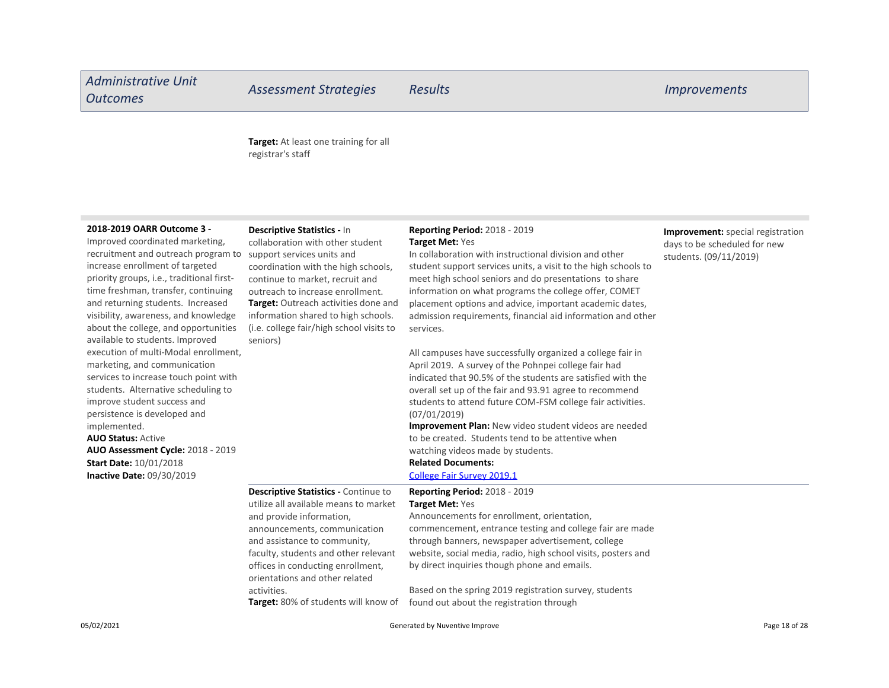Target: At least one training for all registrar's staff

#### 2018-2019 OARR Outcome 3 -

AUO Status: Active Inactive Date: 09/30/2019 AUO Assessment Cycle: 2018 - 2019 Improved coordinated marketing, recruitment and outreach program to increase enrollment of targeted priority groups, i.e., traditional firsttime freshman, transfer, continuing and returning students. Increased visibility, awareness, and knowledge about the college, and opportunities available to students. Improved execution of multi-Modal enrollment, marketing, and communication services to increase touch point with students. Alternative scheduling to improve student success and persistence is developed and implemented. Start Date: 10/01/2018

Target: Outreach activities done and information shared to high schools. (i.e. college fair/high school visits to seniors) Descriptive Statistics - In collaboration with other student support services units and coordination with the high schools, continue to market, recruit and outreach to increase enrollment.

#### Reporting Perio[d: 2](https://comfsm.tracdat.com:443/tracdat/viewDocument?y=Od7TPLgIX2Bz)018 - 2019 Target Met: Yes

In collaboration with instructional division and other student support services units, a visit to the high schools to meet high school seniors and do presentations to share information on what programs the college offer, COMET placement options and advice, important academic dates, admission requirements, financial aid information and other services.

All campuses have successfully organized a college fair in April 2019. A survey of the Pohnpei college fair had indicated that 90.5% of the students are satisfied with the overall set up of the fair and 93.91 agree to recommend students to attend future COM-FSM college fair activities. (07/01/2019)

Improvement Plan: New video student videos are needed to be created. Students tend to be attentive when watching videos made by students.

### Related Documents:

College Fair Survey 2019.1

Target: 80% of students will know of Reporting Period: 2018 - 2019 Target Met: Yes Announcements for enrollment, orientation, commencement, entrance testing and college fair are made through banners, newspaper advertisement, college website, social media, radio, high school visits, posters and by direct inquiries though phone and emails. Based on the spring 2019 registration survey, students found out about the registration through Descriptive Statistics - Continue to utilize all available means to market and provide information, announcements, communication and assistance to community, faculty, students and other relevant offices in conducting enrollment, orientations and other related activities.

Improvement: special registration days to be scheduled for new students. (09/11/2019)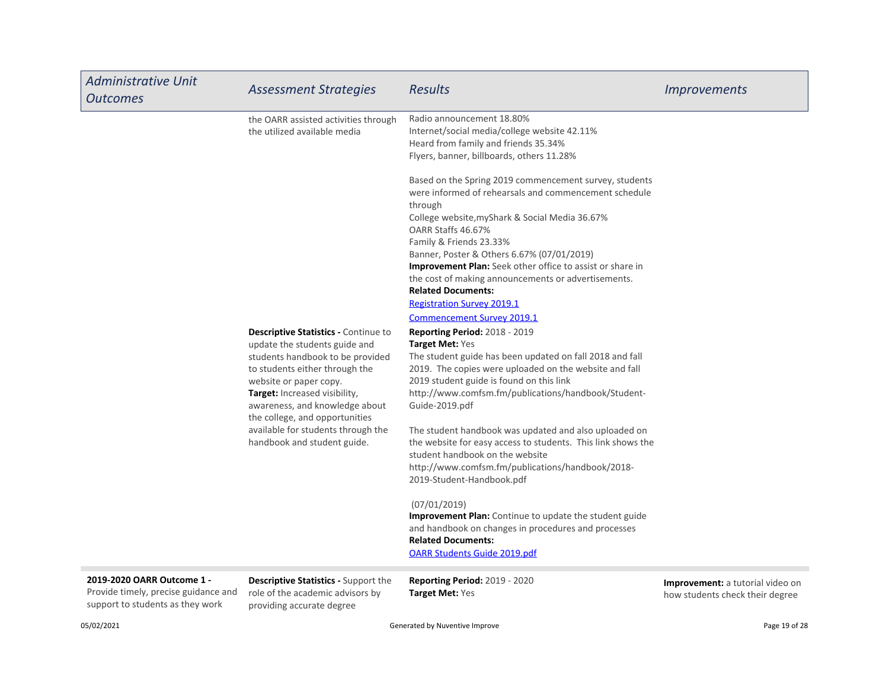| <b>Administrative Unit</b><br><b>Outcomes</b>                      | <b>Assessment Strategies</b>                                                                                                                                                                     | <b>Results</b>                                                                                                                                                                                                                                                                                                                            | <i><u><b>Improvements</b></u></i>                                   |
|--------------------------------------------------------------------|--------------------------------------------------------------------------------------------------------------------------------------------------------------------------------------------------|-------------------------------------------------------------------------------------------------------------------------------------------------------------------------------------------------------------------------------------------------------------------------------------------------------------------------------------------|---------------------------------------------------------------------|
|                                                                    | the OARR assisted activities through<br>the utilized available media                                                                                                                             | Radio announcement 18.80%<br>Internet/social media/college website 42.11%<br>Heard from family and friends 35.34%<br>Flyers, banner, billboards, others 11.28%                                                                                                                                                                            |                                                                     |
|                                                                    |                                                                                                                                                                                                  | Based on the Spring 2019 commencement survey, students<br>were informed of rehearsals and commencement schedule<br>through<br>College website, my Shark & Social Media 36.67%<br>OARR Staffs 46.67%<br>Family & Friends 23.33%<br>Banner, Poster & Others 6.67% (07/01/2019)<br>Improvement Plan: Seek other office to assist or share in |                                                                     |
|                                                                    | <b>Descriptive Statistics - Continue to</b>                                                                                                                                                      | the cost of making announcements or advertisements.<br><b>Related Documents:</b><br><b>Registration Survey 2019.1</b><br><b>Commencement Survey 2019.1</b><br><b>Reporting Period: 2018 - 2019</b>                                                                                                                                        |                                                                     |
|                                                                    | update the students guide and<br>students handbook to be provided<br>to students either through the<br>website or paper copy.<br>Target: Increased visibility,<br>awareness, and knowledge about | Target Met: Yes<br>The student guide has been updated on fall 2018 and fall<br>2019. The copies were uploaded on the website and fall<br>2019 student guide is found on this link<br>http://www.comfsm.fm/publications/handbook/Student-<br>Guide-2019.pdf                                                                                |                                                                     |
|                                                                    | the college, and opportunities<br>available for students through the<br>handbook and student guide.                                                                                              | The student handbook was updated and also uploaded on<br>the website for easy access to students. This link shows the<br>student handbook on the website<br>http://www.comfsm.fm/publications/handbook/2018-<br>2019-Student-Handbook.pdf                                                                                                 |                                                                     |
|                                                                    |                                                                                                                                                                                                  | (07/01/2019)<br>Improvement Plan: Continue to update the student guide<br>and handbook on changes in procedures and processes<br><b>Related Documents:</b><br><b>OARR Students Guide 2019.pdf</b>                                                                                                                                         |                                                                     |
| 2019-2020 OARR Outcome 1 -<br>Provide timely, precise guidance and | Descriptive Statistics - Support the<br>role of the academic advisors by                                                                                                                         | <b>Reporting Period: 2019 - 2020</b><br><b>Target Met: Yes</b>                                                                                                                                                                                                                                                                            | Improvement: a tutorial video on<br>how students check their degree |

support to students as they work

providing accurate degree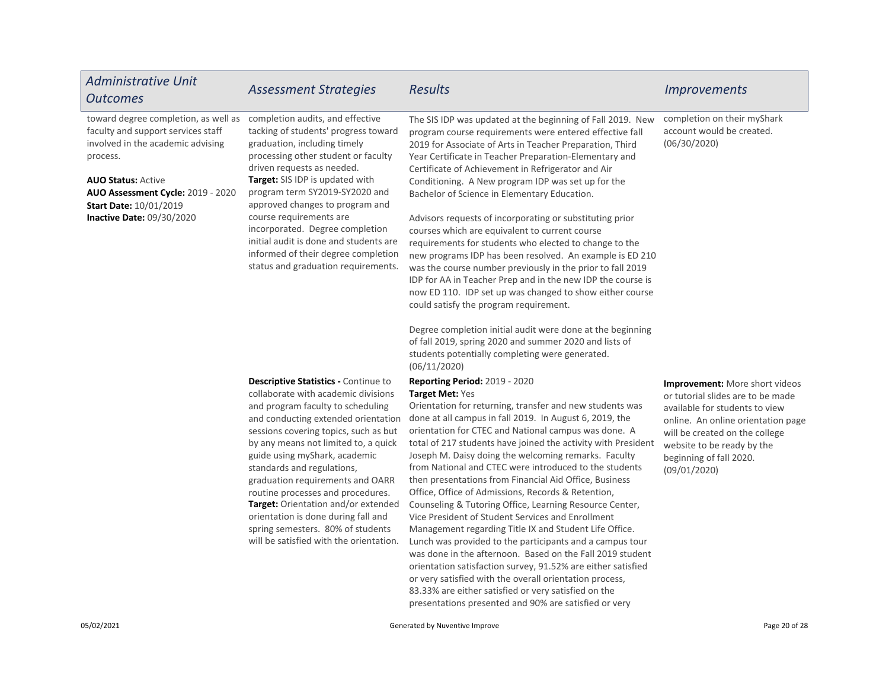| <b>Administrative Unit</b><br><b>Outcomes</b>                                                                                                                                                                                                                                                       | <b>Assessment Strategies</b>                                                                                                                                                                                                                                                                                                                                                                                                                                                                                                                                 | <b>Results</b>                                                                                                                                                                                                                                                                                                                                                                                                                                                                                                                                                                                                                                                                                                                                                                                                                                                                                                                                                                                                                                                                                  | <i><u><b>Improvements</b></u></i>                                                                                                                                                                                                                             |
|-----------------------------------------------------------------------------------------------------------------------------------------------------------------------------------------------------------------------------------------------------------------------------------------------------|--------------------------------------------------------------------------------------------------------------------------------------------------------------------------------------------------------------------------------------------------------------------------------------------------------------------------------------------------------------------------------------------------------------------------------------------------------------------------------------------------------------------------------------------------------------|-------------------------------------------------------------------------------------------------------------------------------------------------------------------------------------------------------------------------------------------------------------------------------------------------------------------------------------------------------------------------------------------------------------------------------------------------------------------------------------------------------------------------------------------------------------------------------------------------------------------------------------------------------------------------------------------------------------------------------------------------------------------------------------------------------------------------------------------------------------------------------------------------------------------------------------------------------------------------------------------------------------------------------------------------------------------------------------------------|---------------------------------------------------------------------------------------------------------------------------------------------------------------------------------------------------------------------------------------------------------------|
| toward degree completion, as well as completion audits, and effective<br>faculty and support services staff<br>involved in the academic advising<br>process.<br><b>AUO Status: Active</b><br><b>AUO Assessment Cycle: 2019 - 2020</b><br><b>Start Date: 10/01/2019</b><br>Inactive Date: 09/30/2020 | tacking of students' progress toward<br>graduation, including timely<br>processing other student or faculty<br>driven requests as needed.<br>Target: SIS IDP is updated with<br>program term SY2019-SY2020 and<br>approved changes to program and<br>course requirements are<br>incorporated. Degree completion<br>initial audit is done and students are<br>informed of their degree completion<br>status and graduation requirements.                                                                                                                      | The SIS IDP was updated at the beginning of Fall 2019. New<br>program course requirements were entered effective fall<br>2019 for Associate of Arts in Teacher Preparation, Third<br>Year Certificate in Teacher Preparation-Elementary and<br>Certificate of Achievement in Refrigerator and Air<br>Conditioning. A New program IDP was set up for the<br>Bachelor of Science in Elementary Education.<br>Advisors requests of incorporating or substituting prior<br>courses which are equivalent to current course<br>requirements for students who elected to change to the<br>new programs IDP has been resolved. An example is ED 210<br>was the course number previously in the prior to fall 2019<br>IDP for AA in Teacher Prep and in the new IDP the course is<br>now ED 110. IDP set up was changed to show either course<br>could satisfy the program requirement.<br>Degree completion initial audit were done at the beginning<br>of fall 2019, spring 2020 and summer 2020 and lists of<br>students potentially completing were generated.<br>(06/11/2020)                       | completion on their myShark<br>account would be created.<br>(06/30/2020)                                                                                                                                                                                      |
|                                                                                                                                                                                                                                                                                                     | <b>Descriptive Statistics - Continue to</b><br>collaborate with academic divisions<br>and program faculty to scheduling<br>and conducting extended orientation<br>sessions covering topics, such as but<br>by any means not limited to, a quick<br>guide using myShark, academic<br>standards and regulations,<br>graduation requirements and OARR<br>routine processes and procedures.<br><b>Target:</b> Orientation and/or extended<br>orientation is done during fall and<br>spring semesters. 80% of students<br>will be satisfied with the orientation. | <b>Reporting Period: 2019 - 2020</b><br><b>Target Met: Yes</b><br>Orientation for returning, transfer and new students was<br>done at all campus in fall 2019. In August 6, 2019, the<br>orientation for CTEC and National campus was done. A<br>total of 217 students have joined the activity with President<br>Joseph M. Daisy doing the welcoming remarks. Faculty<br>from National and CTEC were introduced to the students<br>then presentations from Financial Aid Office, Business<br>Office, Office of Admissions, Records & Retention,<br>Counseling & Tutoring Office, Learning Resource Center,<br>Vice President of Student Services and Enrollment<br>Management regarding Title IX and Student Life Office.<br>Lunch was provided to the participants and a campus tour<br>was done in the afternoon. Based on the Fall 2019 student<br>orientation satisfaction survey, 91.52% are either satisfied<br>or very satisfied with the overall orientation process,<br>83.33% are either satisfied or very satisfied on the<br>presentations presented and 90% are satisfied or very | <b>Improvement:</b> More short videos<br>or tutorial slides are to be made<br>available for students to view<br>online. An online orientation page<br>will be created on the college<br>website to be ready by the<br>beginning of fall 2020.<br>(09/01/2020) |
| 05/02/2021                                                                                                                                                                                                                                                                                          |                                                                                                                                                                                                                                                                                                                                                                                                                                                                                                                                                              | Generated by Nuventive Improve                                                                                                                                                                                                                                                                                                                                                                                                                                                                                                                                                                                                                                                                                                                                                                                                                                                                                                                                                                                                                                                                  | Page 20 of 28                                                                                                                                                                                                                                                 |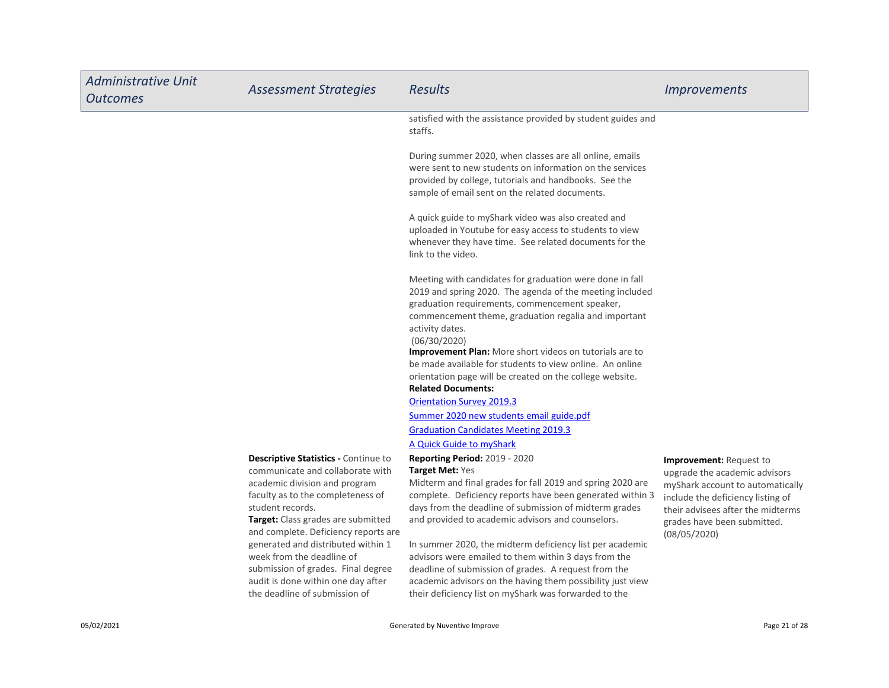| <b>Administrative Unit</b><br><b>Outcomes</b> | <b>Assessment Strategies</b>                                                                                                                                                                                                                                                                                                                                                                                                            | <b>Results</b>                                                                                                                                                                                                                                                                                                                                                                                                                                                                                                                                                                                       | <i><u><b>Improvements</b></u></i>                                                                                                                                                                                            |
|-----------------------------------------------|-----------------------------------------------------------------------------------------------------------------------------------------------------------------------------------------------------------------------------------------------------------------------------------------------------------------------------------------------------------------------------------------------------------------------------------------|------------------------------------------------------------------------------------------------------------------------------------------------------------------------------------------------------------------------------------------------------------------------------------------------------------------------------------------------------------------------------------------------------------------------------------------------------------------------------------------------------------------------------------------------------------------------------------------------------|------------------------------------------------------------------------------------------------------------------------------------------------------------------------------------------------------------------------------|
|                                               |                                                                                                                                                                                                                                                                                                                                                                                                                                         | satisfied with the assistance provided by student guides and<br>staffs.                                                                                                                                                                                                                                                                                                                                                                                                                                                                                                                              |                                                                                                                                                                                                                              |
|                                               |                                                                                                                                                                                                                                                                                                                                                                                                                                         | During summer 2020, when classes are all online, emails<br>were sent to new students on information on the services<br>provided by college, tutorials and handbooks. See the<br>sample of email sent on the related documents.                                                                                                                                                                                                                                                                                                                                                                       |                                                                                                                                                                                                                              |
|                                               |                                                                                                                                                                                                                                                                                                                                                                                                                                         | A quick guide to myShark video was also created and<br>uploaded in Youtube for easy access to students to view<br>whenever they have time. See related documents for the<br>link to the video.                                                                                                                                                                                                                                                                                                                                                                                                       |                                                                                                                                                                                                                              |
|                                               |                                                                                                                                                                                                                                                                                                                                                                                                                                         | Meeting with candidates for graduation were done in fall<br>2019 and spring 2020. The agenda of the meeting included<br>graduation requirements, commencement speaker,<br>commencement theme, graduation regalia and important<br>activity dates.<br>(06/30/2020)<br>Improvement Plan: More short videos on tutorials are to<br>be made available for students to view online. An online<br>orientation page will be created on the college website.<br><b>Related Documents:</b><br><b>Orientation Survey 2019.3</b><br>Summer 2020 new students email guide.pdf                                    |                                                                                                                                                                                                                              |
|                                               |                                                                                                                                                                                                                                                                                                                                                                                                                                         | <b>Graduation Candidates Meeting 2019.3</b><br>A Quick Guide to myShark                                                                                                                                                                                                                                                                                                                                                                                                                                                                                                                              |                                                                                                                                                                                                                              |
|                                               | <b>Descriptive Statistics - Continue to</b><br>communicate and collaborate with<br>academic division and program<br>faculty as to the completeness of<br>student records.<br>Target: Class grades are submitted<br>and complete. Deficiency reports are<br>generated and distributed within 1<br>week from the deadline of<br>submission of grades. Final degree<br>audit is done within one day after<br>the deadline of submission of | <b>Reporting Period: 2019 - 2020</b><br>Target Met: Yes<br>Midterm and final grades for fall 2019 and spring 2020 are<br>complete. Deficiency reports have been generated within 3<br>days from the deadline of submission of midterm grades<br>and provided to academic advisors and counselors.<br>In summer 2020, the midterm deficiency list per academic<br>advisors were emailed to them within 3 days from the<br>deadline of submission of grades. A request from the<br>academic advisors on the having them possibility just view<br>their deficiency list on myShark was forwarded to the | <b>Improvement: Request to</b><br>upgrade the academic advisors<br>myShark account to automatically<br>include the deficiency listing of<br>their advisees after the midterms<br>grades have been submitted.<br>(08/05/2020) |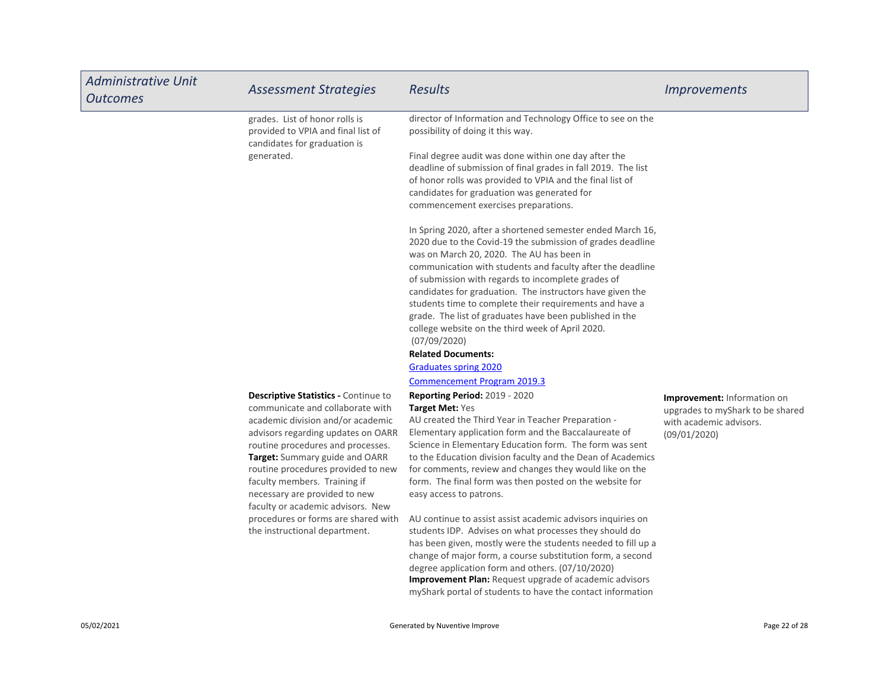| <b>Administrative Unit</b><br><b>Outcomes</b> | <b>Assessment Strategies</b>                                                                                                                                                                                                                                                                                                                                                                                                                                 | <b>Results</b>                                                                                                                                                                                                                                                                                                                                                                                                                                                                                                                                                                                                                                                                                                                                                                                                                                                                                                                                                                                                                       | <i><u><b>Improvements</b></u></i>                                                                                 |
|-----------------------------------------------|--------------------------------------------------------------------------------------------------------------------------------------------------------------------------------------------------------------------------------------------------------------------------------------------------------------------------------------------------------------------------------------------------------------------------------------------------------------|--------------------------------------------------------------------------------------------------------------------------------------------------------------------------------------------------------------------------------------------------------------------------------------------------------------------------------------------------------------------------------------------------------------------------------------------------------------------------------------------------------------------------------------------------------------------------------------------------------------------------------------------------------------------------------------------------------------------------------------------------------------------------------------------------------------------------------------------------------------------------------------------------------------------------------------------------------------------------------------------------------------------------------------|-------------------------------------------------------------------------------------------------------------------|
|                                               | grades. List of honor rolls is<br>provided to VPIA and final list of<br>candidates for graduation is<br>generated.                                                                                                                                                                                                                                                                                                                                           | director of Information and Technology Office to see on the<br>possibility of doing it this way.<br>Final degree audit was done within one day after the<br>deadline of submission of final grades in fall 2019. The list<br>of honor rolls was provided to VPIA and the final list of<br>candidates for graduation was generated for<br>commencement exercises preparations.<br>In Spring 2020, after a shortened semester ended March 16,<br>2020 due to the Covid-19 the submission of grades deadline<br>was on March 20, 2020. The AU has been in<br>communication with students and faculty after the deadline<br>of submission with regards to incomplete grades of<br>candidates for graduation. The instructors have given the<br>students time to complete their requirements and have a<br>grade. The list of graduates have been published in the<br>college website on the third week of April 2020.<br>(07/09/2020)<br><b>Related Documents:</b><br><b>Graduates spring 2020</b><br><b>Commencement Program 2019.3</b> |                                                                                                                   |
|                                               | <b>Descriptive Statistics - Continue to</b><br>communicate and collaborate with<br>academic division and/or academic<br>advisors regarding updates on OARR<br>routine procedures and processes.<br><b>Target:</b> Summary guide and OARR<br>routine procedures provided to new<br>faculty members. Training if<br>necessary are provided to new<br>faculty or academic advisors. New<br>procedures or forms are shared with<br>the instructional department. | <b>Reporting Period: 2019 - 2020</b><br><b>Target Met: Yes</b><br>AU created the Third Year in Teacher Preparation -<br>Elementary application form and the Baccalaureate of<br>Science in Elementary Education form. The form was sent<br>to the Education division faculty and the Dean of Academics<br>for comments, review and changes they would like on the<br>form. The final form was then posted on the website for<br>easy access to patrons.<br>AU continue to assist assist academic advisors inquiries on<br>students IDP. Advises on what processes they should do<br>has been given, mostly were the students needed to fill up a<br>change of major form, a course substitution form, a second<br>degree application form and others. (07/10/2020)<br><b>Improvement Plan:</b> Request upgrade of academic advisors<br>myShark portal of students to have the contact information                                                                                                                                    | <b>Improvement:</b> Information on<br>upgrades to myShark to be shared<br>with academic advisors.<br>(09/01/2020) |
| 05/02/2021                                    |                                                                                                                                                                                                                                                                                                                                                                                                                                                              | Generated by Nuventive Improve                                                                                                                                                                                                                                                                                                                                                                                                                                                                                                                                                                                                                                                                                                                                                                                                                                                                                                                                                                                                       | Page 22 of 28                                                                                                     |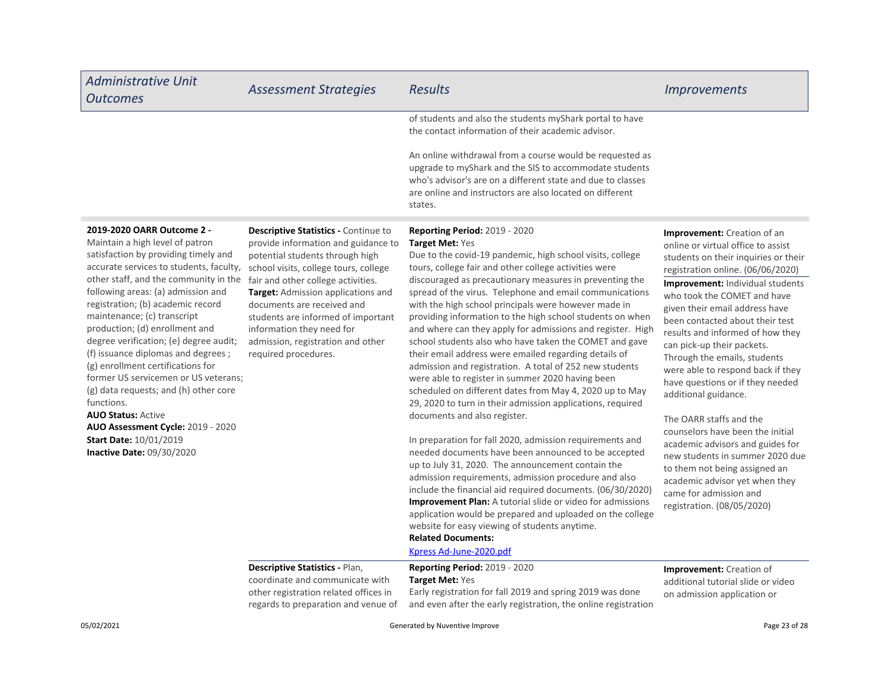| <b>Administrative Unit</b><br><b>Outcomes</b>                                                                                                                                                                                                                                                                                                                                                         | <b>Assessment Strategies</b>                                                                                                                                                                                                           | <b>Results</b>                                                                                                                                                                                                                                                                                                                                                                                                                                                                                                                                                                                                                                                   | <i><u><b>Improvements</b></u></i>                                                                                                                                                                                                                                                                                                       |
|-------------------------------------------------------------------------------------------------------------------------------------------------------------------------------------------------------------------------------------------------------------------------------------------------------------------------------------------------------------------------------------------------------|----------------------------------------------------------------------------------------------------------------------------------------------------------------------------------------------------------------------------------------|------------------------------------------------------------------------------------------------------------------------------------------------------------------------------------------------------------------------------------------------------------------------------------------------------------------------------------------------------------------------------------------------------------------------------------------------------------------------------------------------------------------------------------------------------------------------------------------------------------------------------------------------------------------|-----------------------------------------------------------------------------------------------------------------------------------------------------------------------------------------------------------------------------------------------------------------------------------------------------------------------------------------|
|                                                                                                                                                                                                                                                                                                                                                                                                       |                                                                                                                                                                                                                                        | of students and also the students myShark portal to have<br>the contact information of their academic advisor.                                                                                                                                                                                                                                                                                                                                                                                                                                                                                                                                                   |                                                                                                                                                                                                                                                                                                                                         |
|                                                                                                                                                                                                                                                                                                                                                                                                       |                                                                                                                                                                                                                                        | An online withdrawal from a course would be requested as<br>upgrade to myShark and the SIS to accommodate students<br>who's advisor's are on a different state and due to classes<br>are online and instructors are also located on different<br>states.                                                                                                                                                                                                                                                                                                                                                                                                         |                                                                                                                                                                                                                                                                                                                                         |
| 2019-2020 OARR Outcome 2 -<br>Maintain a high level of patron<br>satisfaction by providing timely and<br>accurate services to students, faculty,                                                                                                                                                                                                                                                      | Descriptive Statistics - Continue to<br>provide information and guidance to<br>potential students through high<br>school visits, college tours, college                                                                                | <b>Reporting Period: 2019 - 2020</b><br>Target Met: Yes<br>Due to the covid-19 pandemic, high school visits, college<br>tours, college fair and other college activities were                                                                                                                                                                                                                                                                                                                                                                                                                                                                                    | Improvement: Creation of an<br>online or virtual office to assist<br>students on their inquiries or their<br>registration online. (06/06/2020)                                                                                                                                                                                          |
| other staff, and the community in the<br>following areas: (a) admission and<br>registration; (b) academic record<br>maintenance; (c) transcript<br>production; (d) enrollment and<br>degree verification; (e) degree audit;<br>(f) issuance diplomas and degrees;<br>(g) enrollment certifications for<br>former US servicemen or US veterans;<br>(g) data requests; and (h) other core<br>functions. | fair and other college activities.<br>Target: Admission applications and<br>documents are received and<br>students are informed of important<br>information they need for<br>admission, registration and other<br>required procedures. | discouraged as precautionary measures in preventing the<br>spread of the virus. Telephone and email communications<br>with the high school principals were however made in<br>providing information to the high school students on when<br>and where can they apply for admissions and register. High<br>school students also who have taken the COMET and gave<br>their email address were emailed regarding details of<br>admission and registration. A total of 252 new students<br>were able to register in summer 2020 having been<br>scheduled on different dates from May 4, 2020 up to May<br>29, 2020 to turn in their admission applications, required | Improvement: Individual students<br>who took the COMET and have<br>given their email address have<br>been contacted about their test<br>results and informed of how they<br>can pick-up their packets.<br>Through the emails, students<br>were able to respond back if they<br>have questions or if they needed<br>additional guidance. |
| <b>AUO Status: Active</b><br>AUO Assessment Cycle: 2019 - 2020<br><b>Start Date: 10/01/2019</b><br>Inactive Date: 09/30/2020                                                                                                                                                                                                                                                                          |                                                                                                                                                                                                                                        | documents and also register.<br>In preparation for fall 2020, admission requirements and<br>needed documents have been announced to be accepted<br>up to July 31, 2020. The announcement contain the<br>admission requirements, admission procedure and also<br>include the financial aid required documents. (06/30/2020)<br><b>Improvement Plan:</b> A tutorial slide or video for admissions<br>application would be prepared and uploaded on the college<br>website for easy viewing of students anytime.                                                                                                                                                    | The OARR staffs and the<br>counselors have been the initial<br>academic advisors and guides for<br>new students in summer 2020 due<br>to them not being assigned an<br>academic advisor yet when they<br>came for admission and<br>registration. (08/05/2020)                                                                           |

Related Documents:

Kpress Ad-June-2020.pdf

Reporting Period: 2019 - 2020 Target Met: Yes Early registration for fall 2019 and spring 2019 was done and even after the early registration, the online registration Descriptive Statistics - Plan, coordinate and communicate with other registration related offices in regards to preparation and venue of

Improvement: Creation of additional tutorial slide or video on admission application or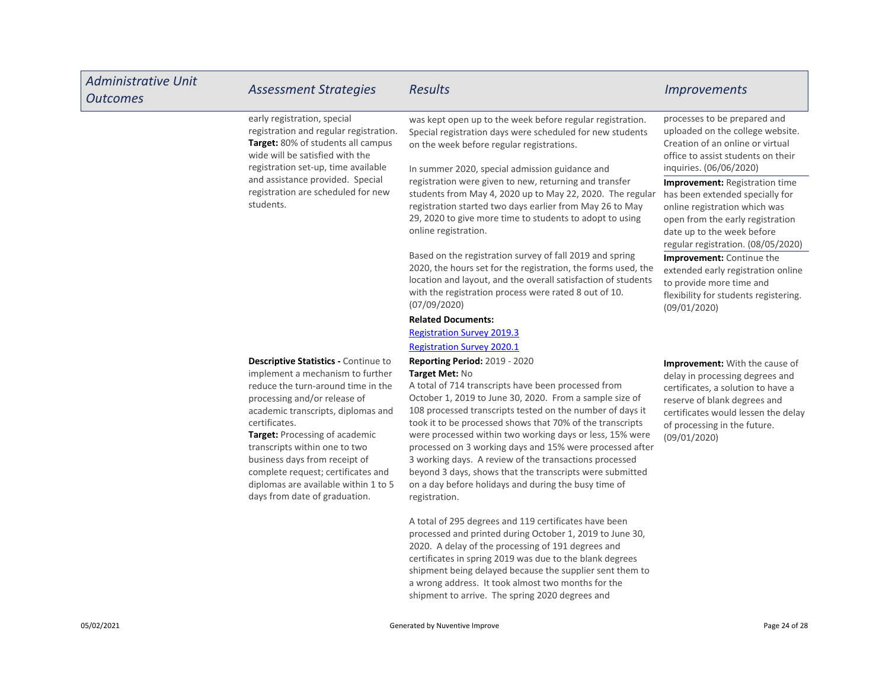| <b>Administrative Unit</b><br><b>Outcomes</b> | <b>Assessment Strategies</b>                                                                                                                                                                                                                                                                                                                                                                                                           | <b>Results</b>                                                                                                                                                                                                                                                                                                                                                                                                                                                                                                                                                                                                            | <b>Improvements</b>                                                                                                                                                                                                                   |
|-----------------------------------------------|----------------------------------------------------------------------------------------------------------------------------------------------------------------------------------------------------------------------------------------------------------------------------------------------------------------------------------------------------------------------------------------------------------------------------------------|---------------------------------------------------------------------------------------------------------------------------------------------------------------------------------------------------------------------------------------------------------------------------------------------------------------------------------------------------------------------------------------------------------------------------------------------------------------------------------------------------------------------------------------------------------------------------------------------------------------------------|---------------------------------------------------------------------------------------------------------------------------------------------------------------------------------------------------------------------------------------|
|                                               | early registration, special<br>registration and regular registration.<br><b>Target:</b> 80% of students all campus<br>wide will be satisfied with the<br>registration set-up, time available                                                                                                                                                                                                                                           | was kept open up to the week before regular registration.<br>Special registration days were scheduled for new students<br>on the week before regular registrations.<br>In summer 2020, special admission guidance and                                                                                                                                                                                                                                                                                                                                                                                                     | processes to be prepared and<br>uploaded on the college website.<br>Creation of an online or virtual<br>office to assist students on their<br>inquiries. (06/06/2020)                                                                 |
|                                               | and assistance provided. Special<br>registration are scheduled for new<br>students.                                                                                                                                                                                                                                                                                                                                                    | registration were given to new, returning and transfer<br>students from May 4, 2020 up to May 22, 2020. The regular<br>registration started two days earlier from May 26 to May<br>29, 2020 to give more time to students to adopt to using<br>online registration.                                                                                                                                                                                                                                                                                                                                                       | <b>Improvement: Registration time</b><br>has been extended specially for<br>online registration which was<br>open from the early registration<br>date up to the week before<br>regular registration. (08/05/2020)                     |
|                                               |                                                                                                                                                                                                                                                                                                                                                                                                                                        | Based on the registration survey of fall 2019 and spring<br>2020, the hours set for the registration, the forms used, the<br>location and layout, and the overall satisfaction of students<br>with the registration process were rated 8 out of 10.<br>(07/09/2020)                                                                                                                                                                                                                                                                                                                                                       | <b>Improvement:</b> Continue the<br>extended early registration online<br>to provide more time and<br>flexibility for students registering.<br>(09/01/2020)                                                                           |
|                                               |                                                                                                                                                                                                                                                                                                                                                                                                                                        | <b>Related Documents:</b><br><b>Registration Survey 2019.3</b>                                                                                                                                                                                                                                                                                                                                                                                                                                                                                                                                                            |                                                                                                                                                                                                                                       |
|                                               |                                                                                                                                                                                                                                                                                                                                                                                                                                        | <b>Registration Survey 2020.1</b>                                                                                                                                                                                                                                                                                                                                                                                                                                                                                                                                                                                         |                                                                                                                                                                                                                                       |
|                                               | <b>Descriptive Statistics - Continue to</b><br>implement a mechanism to further<br>reduce the turn-around time in the<br>processing and/or release of<br>academic transcripts, diplomas and<br>certificates.<br><b>Target:</b> Processing of academic<br>transcripts within one to two<br>business days from receipt of<br>complete request; certificates and<br>diplomas are available within 1 to 5<br>days from date of graduation. | <b>Reporting Period: 2019 - 2020</b><br>Target Met: No<br>A total of 714 transcripts have been processed from<br>October 1, 2019 to June 30, 2020. From a sample size of<br>108 processed transcripts tested on the number of days it<br>took it to be processed shows that 70% of the transcripts<br>were processed within two working days or less, 15% were<br>processed on 3 working days and 15% were processed after<br>3 working days. A review of the transactions processed<br>beyond 3 days, shows that the transcripts were submitted<br>on a day before holidays and during the busy time of<br>registration. | <b>Improvement:</b> With the cause of<br>delay in processing degrees and<br>certificates, a solution to have a<br>reserve of blank degrees and<br>certificates would lessen the delay<br>of processing in the future.<br>(09/01/2020) |
|                                               |                                                                                                                                                                                                                                                                                                                                                                                                                                        | A total of 295 degrees and 119 certificates have been<br>processed and printed during October 1, 2019 to June 30,<br>2020. A delay of the processing of 191 degrees and<br>certificates in spring 2019 was due to the blank degrees<br>shipment being delayed because the supplier sent them to<br>a wrong address. It took almost two months for the<br>shipment to arrive. The spring 2020 degrees and                                                                                                                                                                                                                  |                                                                                                                                                                                                                                       |
| 05/02/2021                                    |                                                                                                                                                                                                                                                                                                                                                                                                                                        | Generated by Nuventive Improve                                                                                                                                                                                                                                                                                                                                                                                                                                                                                                                                                                                            | Page 24 of 28                                                                                                                                                                                                                         |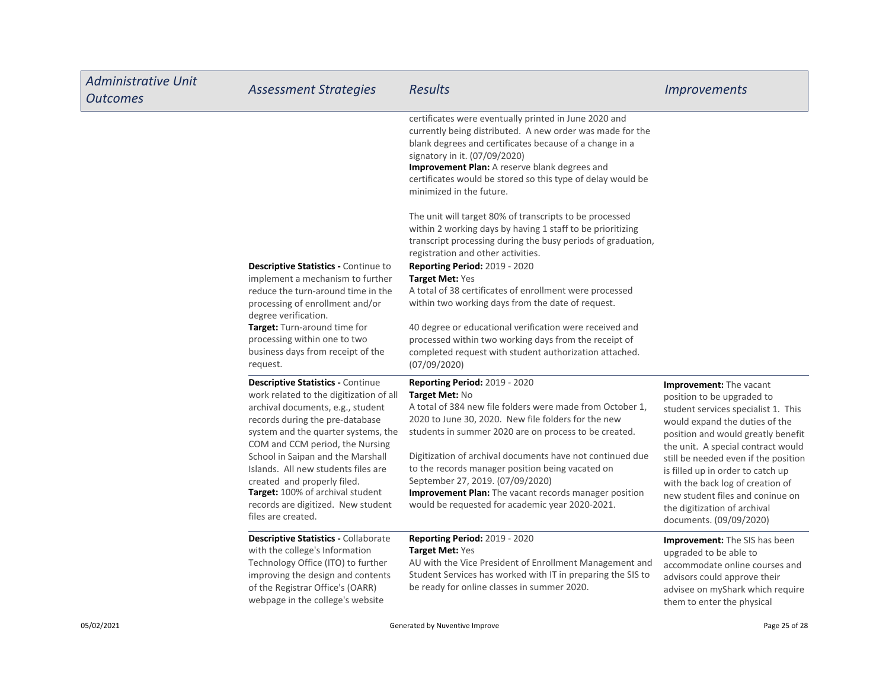| <b>Administrative Unit</b><br><b>Outcomes</b> | <b>Assessment Strategies</b>                                                                                                                                                                                                                                                                                                                                                                                                                            | <b>Results</b>                                                                                                                                                                                                                                                                                                                                                                                                                                                                                                                                                                                       | <i><u><b>Improvements</b></u></i>                                                                                                                                                                                                                                                                                                                                                                                          |
|-----------------------------------------------|---------------------------------------------------------------------------------------------------------------------------------------------------------------------------------------------------------------------------------------------------------------------------------------------------------------------------------------------------------------------------------------------------------------------------------------------------------|------------------------------------------------------------------------------------------------------------------------------------------------------------------------------------------------------------------------------------------------------------------------------------------------------------------------------------------------------------------------------------------------------------------------------------------------------------------------------------------------------------------------------------------------------------------------------------------------------|----------------------------------------------------------------------------------------------------------------------------------------------------------------------------------------------------------------------------------------------------------------------------------------------------------------------------------------------------------------------------------------------------------------------------|
|                                               |                                                                                                                                                                                                                                                                                                                                                                                                                                                         | certificates were eventually printed in June 2020 and<br>currently being distributed. A new order was made for the<br>blank degrees and certificates because of a change in a<br>signatory in it. (07/09/2020)<br>Improvement Plan: A reserve blank degrees and<br>certificates would be stored so this type of delay would be<br>minimized in the future.                                                                                                                                                                                                                                           |                                                                                                                                                                                                                                                                                                                                                                                                                            |
|                                               | Descriptive Statistics - Continue to<br>implement a mechanism to further<br>reduce the turn-around time in the<br>processing of enrollment and/or<br>degree verification.<br>Target: Turn-around time for<br>processing within one to two<br>business days from receipt of the<br>request.                                                                                                                                                              | The unit will target 80% of transcripts to be processed<br>within 2 working days by having 1 staff to be prioritizing<br>transcript processing during the busy periods of graduation,<br>registration and other activities.<br><b>Reporting Period: 2019 - 2020</b><br>Target Met: Yes<br>A total of 38 certificates of enrollment were processed<br>within two working days from the date of request.<br>40 degree or educational verification were received and<br>processed within two working days from the receipt of<br>completed request with student authorization attached.<br>(07/09/2020) |                                                                                                                                                                                                                                                                                                                                                                                                                            |
|                                               | <b>Descriptive Statistics - Continue</b><br>work related to the digitization of all<br>archival documents, e.g., student<br>records during the pre-database<br>system and the quarter systems, the<br>COM and CCM period, the Nursing<br>School in Saipan and the Marshall<br>Islands. All new students files are<br>created and properly filed.<br><b>Target:</b> 100% of archival student<br>records are digitized. New student<br>files are created. | <b>Reporting Period: 2019 - 2020</b><br>Target Met: No<br>A total of 384 new file folders were made from October 1,<br>2020 to June 30, 2020. New file folders for the new<br>students in summer 2020 are on process to be created.<br>Digitization of archival documents have not continued due<br>to the records manager position being vacated on<br>September 27, 2019. (07/09/2020)<br>Improvement Plan: The vacant records manager position<br>would be requested for academic year 2020-2021.                                                                                                 | Improvement: The vacant<br>position to be upgraded to<br>student services specialist 1. This<br>would expand the duties of the<br>position and would greatly benefit<br>the unit. A special contract would<br>still be needed even if the position<br>is filled up in order to catch up<br>with the back log of creation of<br>new student files and coninue on<br>the digitization of archival<br>documents. (09/09/2020) |
|                                               | <b>Descriptive Statistics - Collaborate</b><br>with the college's Information<br>Technology Office (ITO) to further<br>improving the design and contents<br>of the Registrar Office's (OARR)<br>webpage in the college's website                                                                                                                                                                                                                        | <b>Reporting Period: 2019 - 2020</b><br>Target Met: Yes<br>AU with the Vice President of Enrollment Management and<br>Student Services has worked with IT in preparing the SIS to<br>be ready for online classes in summer 2020.                                                                                                                                                                                                                                                                                                                                                                     | Improvement: The SIS has been<br>upgraded to be able to<br>accommodate online courses and<br>advisors could approve their<br>advisee on myShark which require<br>them to enter the physical                                                                                                                                                                                                                                |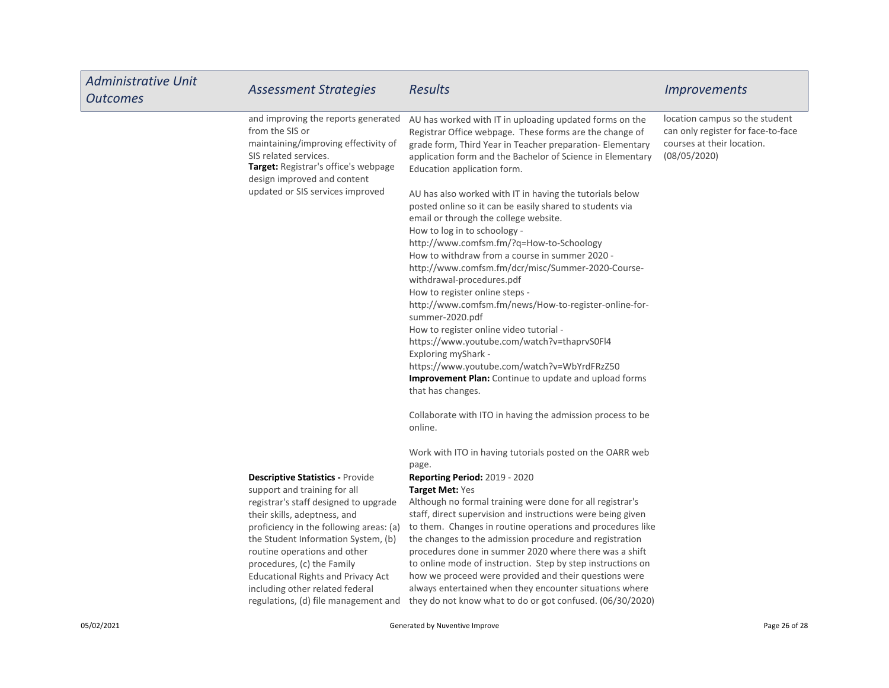| <b>Administrative Unit</b><br><b>Outcomes</b> | <b>Assessment Strategies</b>                                                                                                                                                                                                                                                                                                                  | <b>Results</b>                                                                                                                                                                                                                                                                                                                                                                                                                                                                                                                                                                                                                                                                                                                                                                                                                                                                                                                                                                                                            | <i><u><b>Improvements</b></u></i>                                                                                  |
|-----------------------------------------------|-----------------------------------------------------------------------------------------------------------------------------------------------------------------------------------------------------------------------------------------------------------------------------------------------------------------------------------------------|---------------------------------------------------------------------------------------------------------------------------------------------------------------------------------------------------------------------------------------------------------------------------------------------------------------------------------------------------------------------------------------------------------------------------------------------------------------------------------------------------------------------------------------------------------------------------------------------------------------------------------------------------------------------------------------------------------------------------------------------------------------------------------------------------------------------------------------------------------------------------------------------------------------------------------------------------------------------------------------------------------------------------|--------------------------------------------------------------------------------------------------------------------|
|                                               | and improving the reports generated<br>from the SIS or<br>maintaining/improving effectivity of<br>SIS related services.<br><b>Target:</b> Registrar's office's webpage<br>design improved and content<br>updated or SIS services improved                                                                                                     | AU has worked with IT in uploading updated forms on the<br>Registrar Office webpage. These forms are the change of<br>grade form, Third Year in Teacher preparation- Elementary<br>application form and the Bachelor of Science in Elementary<br>Education application form.<br>AU has also worked with IT in having the tutorials below<br>posted online so it can be easily shared to students via<br>email or through the college website.<br>How to log in to schoology -<br>http://www.comfsm.fm/?q=How-to-Schoology<br>How to withdraw from a course in summer 2020 -<br>http://www.comfsm.fm/dcr/misc/Summer-2020-Course-<br>withdrawal-procedures.pdf<br>How to register online steps -<br>http://www.comfsm.fm/news/How-to-register-online-for-<br>summer-2020.pdf<br>How to register online video tutorial -<br>https://www.youtube.com/watch?v=thaprvS0FI4<br>Exploring myShark -<br>https://www.youtube.com/watch?v=WbYrdFRzZ50<br>Improvement Plan: Continue to update and upload forms<br>that has changes. | location campus so the student<br>can only register for face-to-face<br>courses at their location.<br>(08/05/2020) |
|                                               |                                                                                                                                                                                                                                                                                                                                               | Collaborate with ITO in having the admission process to be<br>online.                                                                                                                                                                                                                                                                                                                                                                                                                                                                                                                                                                                                                                                                                                                                                                                                                                                                                                                                                     |                                                                                                                    |
|                                               | <b>Descriptive Statistics - Provide</b><br>support and training for all                                                                                                                                                                                                                                                                       | Work with ITO in having tutorials posted on the OARR web<br>page.<br><b>Reporting Period: 2019 - 2020</b><br><b>Target Met: Yes</b>                                                                                                                                                                                                                                                                                                                                                                                                                                                                                                                                                                                                                                                                                                                                                                                                                                                                                       |                                                                                                                    |
|                                               | registrar's staff designed to upgrade<br>their skills, adeptness, and<br>proficiency in the following areas: (a)<br>the Student Information System, (b)<br>routine operations and other<br>procedures, (c) the Family<br><b>Educational Rights and Privacy Act</b><br>including other related federal<br>regulations, (d) file management and | Although no formal training were done for all registrar's<br>staff, direct supervision and instructions were being given<br>to them. Changes in routine operations and procedures like<br>the changes to the admission procedure and registration<br>procedures done in summer 2020 where there was a shift<br>to online mode of instruction. Step by step instructions on<br>how we proceed were provided and their questions were<br>always entertained when they encounter situations where<br>they do not know what to do or got confused. (06/30/2020)                                                                                                                                                                                                                                                                                                                                                                                                                                                               |                                                                                                                    |
| 05/02/2021                                    | Generated by Nuventive Improve                                                                                                                                                                                                                                                                                                                |                                                                                                                                                                                                                                                                                                                                                                                                                                                                                                                                                                                                                                                                                                                                                                                                                                                                                                                                                                                                                           | Page 26 of 28                                                                                                      |

F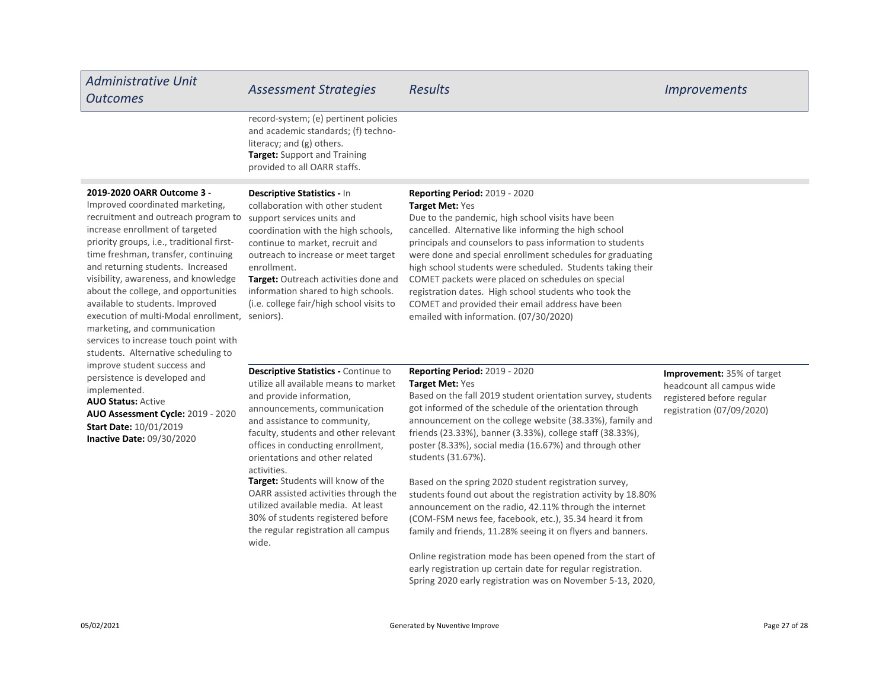| <b>Administrative Unit</b><br><b>Outcomes</b>                                                                                                                                                                                                                                                                                                                                                                                                                                                                                                                                                                                                                                                                                                                        | <b>Assessment Strategies</b>                                                                                                                                                                                                                                                                                                                                    | <b>Results</b>                                                                                                                                                                                                                                                                                                                                                                                                                                                                                                                                                            | <i><u><b>Improvements</b></u></i>                                                                                        |
|----------------------------------------------------------------------------------------------------------------------------------------------------------------------------------------------------------------------------------------------------------------------------------------------------------------------------------------------------------------------------------------------------------------------------------------------------------------------------------------------------------------------------------------------------------------------------------------------------------------------------------------------------------------------------------------------------------------------------------------------------------------------|-----------------------------------------------------------------------------------------------------------------------------------------------------------------------------------------------------------------------------------------------------------------------------------------------------------------------------------------------------------------|---------------------------------------------------------------------------------------------------------------------------------------------------------------------------------------------------------------------------------------------------------------------------------------------------------------------------------------------------------------------------------------------------------------------------------------------------------------------------------------------------------------------------------------------------------------------------|--------------------------------------------------------------------------------------------------------------------------|
|                                                                                                                                                                                                                                                                                                                                                                                                                                                                                                                                                                                                                                                                                                                                                                      | record-system; (e) pertinent policies<br>and academic standards; (f) techno-<br>literacy; and (g) others.<br>Target: Support and Training<br>provided to all OARR staffs.                                                                                                                                                                                       |                                                                                                                                                                                                                                                                                                                                                                                                                                                                                                                                                                           |                                                                                                                          |
| 2019-2020 OARR Outcome 3 -<br>Improved coordinated marketing,<br>recruitment and outreach program to<br>increase enrollment of targeted<br>priority groups, i.e., traditional first-<br>time freshman, transfer, continuing<br>and returning students. Increased<br>visibility, awareness, and knowledge<br>about the college, and opportunities<br>available to students. Improved<br>execution of multi-Modal enrollment, seniors).<br>marketing, and communication<br>services to increase touch point with<br>students. Alternative scheduling to<br>improve student success and<br>persistence is developed and<br>implemented.<br><b>AUO Status: Active</b><br>AUO Assessment Cycle: 2019 - 2020<br><b>Start Date: 10/01/2019</b><br>Inactive Date: 09/30/2020 | <b>Descriptive Statistics - In</b><br>collaboration with other student<br>support services units and<br>coordination with the high schools,<br>continue to market, recruit and<br>outreach to increase or meet target<br>enrollment.<br>Target: Outreach activities done and<br>information shared to high schools.<br>(i.e. college fair/high school visits to | <b>Reporting Period: 2019 - 2020</b><br>Target Met: Yes<br>Due to the pandemic, high school visits have been<br>cancelled. Alternative like informing the high school<br>principals and counselors to pass information to students<br>were done and special enrollment schedules for graduating<br>high school students were scheduled. Students taking their<br>COMET packets were placed on schedules on special<br>registration dates. High school students who took the<br>COMET and provided their email address have been<br>emailed with information. (07/30/2020) |                                                                                                                          |
|                                                                                                                                                                                                                                                                                                                                                                                                                                                                                                                                                                                                                                                                                                                                                                      | <b>Descriptive Statistics - Continue to</b><br>utilize all available means to market<br>and provide information,<br>announcements, communication<br>and assistance to community,<br>faculty, students and other relevant<br>offices in conducting enrollment,<br>orientations and other related<br>activities.<br><b>Target:</b> Students will know of the      | <b>Reporting Period: 2019 - 2020</b><br>Target Met: Yes<br>Based on the fall 2019 student orientation survey, students<br>got informed of the schedule of the orientation through<br>announcement on the college website (38.33%), family and<br>friends (23.33%), banner (3.33%), college staff (38.33%),<br>poster (8.33%), social media (16.67%) and through other<br>students (31.67%).<br>Based on the spring 2020 student registration survey                                                                                                                       | <b>Improvement:</b> 35% of target<br>headcount all campus wide<br>registered before regular<br>registration (07/09/2020) |

**Target:** Studen OARR assisted activities through the utilized available media. At least 30% of students registered before the regular registration all campus wide.

Based on the spring 2020 student registration survey, students found out about the registration activity by 18.80% announcement on the radio, 42.11% through the internet (COM-FSM news fee, facebook, etc.), 35.34 heard it from family and friends, 11.28% seeing it on flyers and banners.

Online registration mode has been opened from the start of early registration up certain date for regular registration. Spring 2020 early registration was on November 5-13, 2020,